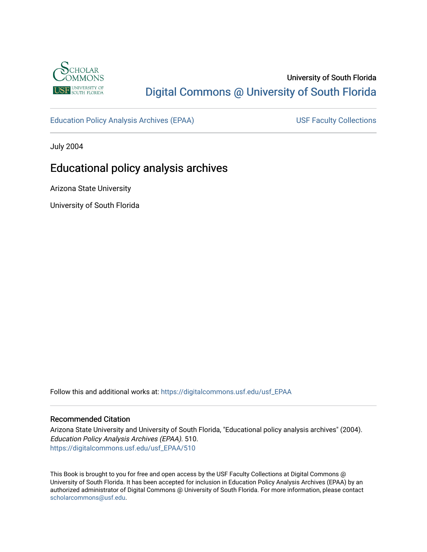

## University of South Florida [Digital Commons @ University of South Florida](https://digitalcommons.usf.edu/)

[Education Policy Analysis Archives \(EPAA\)](https://digitalcommons.usf.edu/usf_EPAA) USF Faculty Collections

July 2004

# Educational policy analysis archives

Arizona State University

University of South Florida

Follow this and additional works at: [https://digitalcommons.usf.edu/usf\\_EPAA](https://digitalcommons.usf.edu/usf_EPAA?utm_source=digitalcommons.usf.edu%2Fusf_EPAA%2F510&utm_medium=PDF&utm_campaign=PDFCoverPages)

#### Recommended Citation

Arizona State University and University of South Florida, "Educational policy analysis archives" (2004). Education Policy Analysis Archives (EPAA). 510. [https://digitalcommons.usf.edu/usf\\_EPAA/510](https://digitalcommons.usf.edu/usf_EPAA/510?utm_source=digitalcommons.usf.edu%2Fusf_EPAA%2F510&utm_medium=PDF&utm_campaign=PDFCoverPages)

This Book is brought to you for free and open access by the USF Faculty Collections at Digital Commons @ University of South Florida. It has been accepted for inclusion in Education Policy Analysis Archives (EPAA) by an authorized administrator of Digital Commons @ University of South Florida. For more information, please contact [scholarcommons@usf.edu.](mailto:scholarcommons@usf.edu)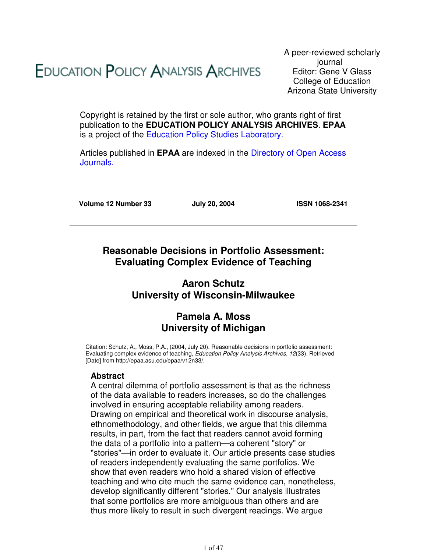# **EDUCATION POLICY ANALYSIS ARCHIVES**

A peer-reviewed scholarly journal Editor: Gene V Glass College of Education Arizona State University

Copyright is retained by the first or sole author, who grants right of first publication to the **EDUCATION POLICY ANALYSIS ARCHIVES**. **EPAA** is a project of the Education Policy Studies Laboratory.

Articles published in **EPAA** are indexed in the Directory of Open Access Journals.

**Volume 12 Number 33 July 20, 2004 ISSN 1068-2341**

## **Reasonable Decisions in Portfolio Assessment: Evaluating Complex Evidence of Teaching**

## **Aaron Schutz University of Wisconsin-Milwaukee**

## **Pamela A. Moss University of Michigan**

Citation: Schutz, A., Moss, P.A., (2004, July 20). Reasonable decisions in portfolio assessment: Evaluating complex evidence of teaching, Education Policy Analysis Archives, 12(33). Retrieved [Date] from http://epaa.asu.edu/epaa/v12n33/.

#### **Abstract**

A central dilemma of portfolio assessment is that as the richness of the data available to readers increases, so do the challenges involved in ensuring acceptable reliability among readers. Drawing on empirical and theoretical work in discourse analysis, ethnomethodology, and other fields, we argue that this dilemma results, in part, from the fact that readers cannot avoid forming the data of a portfolio into a pattern—a coherent "story" or "stories"—in order to evaluate it. Our article presents case studies of readers independently evaluating the same portfolios. We show that even readers who hold a shared vision of effective teaching and who cite much the same evidence can, nonetheless, develop significantly different "stories." Our analysis illustrates that some portfolios are more ambiguous than others and are thus more likely to result in such divergent readings. We argue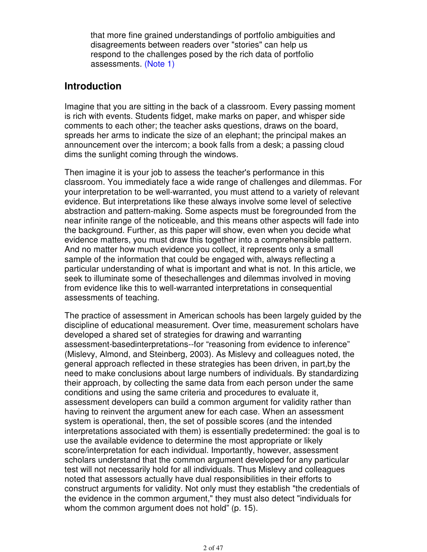that more fine grained understandings of portfolio ambiguities and disagreements between readers over "stories" can help us respond to the challenges posed by the rich data of portfolio assessments. (Note 1)

## **Introduction**

Imagine that you are sitting in the back of a classroom. Every passing moment is rich with events. Students fidget, make marks on paper, and whisper side comments to each other; the teacher asks questions, draws on the board, spreads her arms to indicate the size of an elephant; the principal makes an announcement over the intercom; a book falls from a desk; a passing cloud dims the sunlight coming through the windows.

Then imagine it is your job to assess the teacher's performance in this classroom. You immediately face a wide range of challenges and dilemmas. For your interpretation to be well-warranted, you must attend to a variety of relevant evidence. But interpretations like these always involve some level of selective abstraction and pattern-making. Some aspects must be foregrounded from the near infinite range of the noticeable, and this means other aspects will fade into the background. Further, as this paper will show, even when you decide what evidence matters, you must draw this together into a comprehensible pattern. And no matter how much evidence you collect, it represents only a small sample of the information that could be engaged with, always reflecting a particular understanding of what is important and what is not. In this article, we seek to illuminate some of thesechallenges and dilemmas involved in moving from evidence like this to well-warranted interpretations in consequential assessments of teaching.

The practice of assessment in American schools has been largely guided by the discipline of educational measurement. Over time, measurement scholars have developed a shared set of strategies for drawing and warranting assessment-basedinterpretations--for "reasoning from evidence to inference" (Mislevy, Almond, and Steinberg, 2003). As Mislevy and colleagues noted, the general approach reflected in these strategies has been driven, in part,by the need to make conclusions about large numbers of individuals. By standardizing their approach, by collecting the same data from each person under the same conditions and using the same criteria and procedures to evaluate it, assessment developers can build a common argument for validity rather than having to reinvent the argument anew for each case. When an assessment system is operational, then, the set of possible scores (and the intended interpretations associated with them) is essentially predetermined: the goal is to use the available evidence to determine the most appropriate or likely score/interpretation for each individual. Importantly, however, assessment scholars understand that the common argument developed for any particular test will not necessarily hold for all individuals. Thus Mislevy and colleagues noted that assessors actually have dual responsibilities in their efforts to construct arguments for validity. Not only must they establish "the credentials of the evidence in the common argument," they must also detect "individuals for whom the common argument does not hold" (p. 15).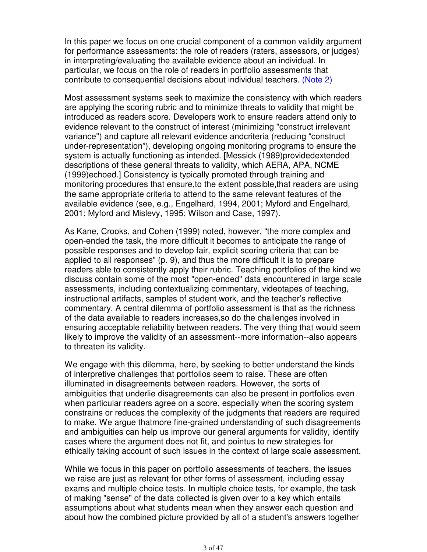In this paper we focus on one crucial component of a common validity argument for performance assessments: the role of readers (raters, assessors, or judges) in interpreting/evaluating the available evidence about an individual. In particular, we focus on the role of readers in portfolio assessments that contribute to consequential decisions about individual teachers. (Note 2)

Most assessment systems seek to maximize the consistency with which readers are applying the scoring rubric and to minimize threats to validity that might be introduced as readers score. Developers work to ensure readers attend only to evidence relevant to the construct of interest (minimizing "construct irrelevant variance") and capture all relevant evidence andcriteria (reducing "construct under-representation"), developing ongoing monitoring programs to ensure the system is actually functioning as intended. [Messick (1989)providedextended descriptions of these general threats to validity, which AERA, APA, NCME (1999)echoed.] Consistency is typically promoted through training and monitoring procedures that ensure,to the extent possible,that readers are using the same appropriate criteria to attend to the same relevant features of the available evidence (see, e.g., Engelhard, 1994, 2001; Myford and Engelhard, 2001; Myford and Mislevy, 1995; Wilson and Case, 1997).

As Kane, Crooks, and Cohen (1999) noted, however, "the more complex and open-ended the task, the more difficult it becomes to anticipate the range of possible responses and to develop fair, explicit scoring criteria that can be applied to all responses" (p. 9), and thus the more difficult it is to prepare readers able to consistently apply their rubric. Teaching portfolios of the kind we discuss contain some of the most "open-ended" data encountered in large scale assessments, including contextualizing commentary, videotapes of teaching, instructional artifacts, samples of student work, and the teacher's reflective commentary. A central dilemma of portfolio assessment is that as the richness of the data available to readers increases,so do the challenges involved in ensuring acceptable reliability between readers. The very thing that would seem likely to improve the validity of an assessment--more information--also appears to threaten its validity.

We engage with this dilemma, here, by seeking to better understand the kinds of interpretive challenges that portfolios seem to raise. These are often illuminated in disagreements between readers. However, the sorts of ambiguities that underlie disagreements can also be present in portfolios even when particular readers agree on a score, especially when the scoring system constrains or reduces the complexity of the judgments that readers are required to make. We argue thatmore fine-grained understanding of such disagreements and ambiguities can help us improve our general arguments for validity, identify cases where the argument does not fit, and pointus to new strategies for ethically taking account of such issues in the context of large scale assessment.

While we focus in this paper on portfolio assessments of teachers, the issues we raise are just as relevant for other forms of assessment, including essay exams and multiple choice tests. In multiple choice tests, for example, the task of making "sense" of the data collected is given over to a key which entails assumptions about what students mean when they answer each question and about how the combined picture provided by all of a student's answers together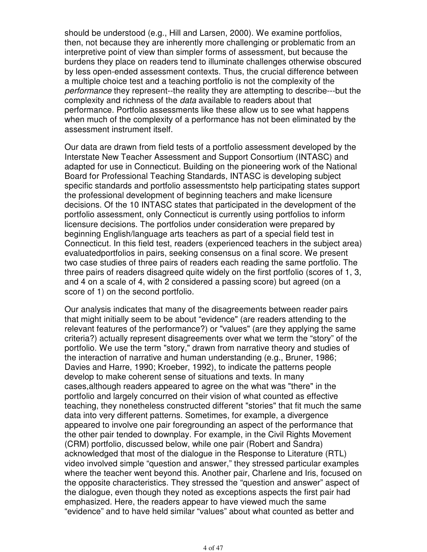should be understood (e.g., Hill and Larsen, 2000). We examine portfolios, then, not because they are inherently more challenging or problematic from an interpretive point of view than simpler forms of assessment, but because the burdens they place on readers tend to illuminate challenges otherwise obscured by less open-ended assessment contexts. Thus, the crucial difference between a multiple choice test and a teaching portfolio is not the complexity of the performance they represent--the reality they are attempting to describe---but the complexity and richness of the data available to readers about that performance. Portfolio assessments like these allow us to see what happens when much of the complexity of a performance has not been eliminated by the assessment instrument itself.

Our data are drawn from field tests of a portfolio assessment developed by the Interstate New Teacher Assessment and Support Consortium (INTASC) and adapted for use in Connecticut. Building on the pioneering work of the National Board for Professional Teaching Standards, INTASC is developing subject specific standards and portfolio assessmentsto help participating states support the professional development of beginning teachers and make licensure decisions. Of the 10 INTASC states that participated in the development of the portfolio assessment, only Connecticut is currently using portfolios to inform licensure decisions. The portfolios under consideration were prepared by beginning English/language arts teachers as part of a special field test in Connecticut. In this field test, readers (experienced teachers in the subject area) evaluatedportfolios in pairs, seeking consensus on a final score. We present two case studies of three pairs of readers each reading the same portfolio. The three pairs of readers disagreed quite widely on the first portfolio (scores of 1, 3, and 4 on a scale of 4, with 2 considered a passing score) but agreed (on a score of 1) on the second portfolio.

Our analysis indicates that many of the disagreements between reader pairs that might initially seem to be about "evidence" (are readers attending to the relevant features of the performance?) or "values" (are they applying the same criteria?) actually represent disagreements over what we term the "story" of the portfolio. We use the term "story," drawn from narrative theory and studies of the interaction of narrative and human understanding (e.g., Bruner, 1986; Davies and Harre, 1990; Kroeber, 1992), to indicate the patterns people develop to make coherent sense of situations and texts. In many cases,although readers appeared to agree on the what was "there" in the portfolio and largely concurred on their vision of what counted as effective teaching, they nonetheless constructed different "stories" that fit much the same data into very different patterns. Sometimes, for example, a divergence appeared to involve one pair foregrounding an aspect of the performance that the other pair tended to downplay. For example, in the Civil Rights Movement (CRM) portfolio, discussed below, while one pair (Robert and Sandra) acknowledged that most of the dialogue in the Response to Literature (RTL) video involved simple "question and answer," they stressed particular examples where the teacher went beyond this. Another pair, Charlene and Iris, focused on the opposite characteristics. They stressed the "question and answer" aspect of the dialogue, even though they noted as exceptions aspects the first pair had emphasized. Here, the readers appear to have viewed much the same "evidence" and to have held similar "values" about what counted as better and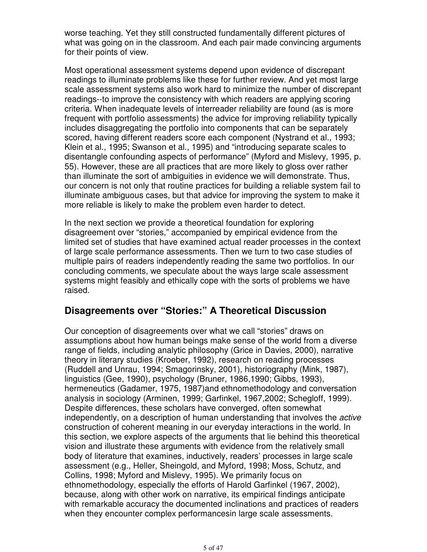worse teaching. Yet they still constructed fundamentally different pictures of what was going on in the classroom. And each pair made convincing arguments for their points of view.

Most operational assessment systems depend upon evidence of discrepant readings to illuminate problems like these for further review. And yet most large scale assessment systems also work hard to minimize the number of discrepant readings--to improve the consistency with which readers are applying scoring criteria. When inadequate levels of interreader reliability are found (as is more frequent with portfolio assessments) the advice for improving reliability typically includes disaggregating the portfolio into components that can be separately scored, having different readers score each component (Nystrand et al., 1993; Klein et al., 1995; Swanson et al., 1995) and "introducing separate scales to disentangle confounding aspects of performance" (Myford and Mislevy, 1995, p. 55). However, these are all practices that are more likely to gloss over rather than illuminate the sort of ambiguities in evidence we will demonstrate. Thus, our concern is not only that routine practices for building a reliable system fail to illuminate ambiguous cases, but that advice for improving the system to make it more reliable is likely to make the problem even harder to detect.

In the next section we provide a theoretical foundation for exploring disagreement over "stories," accompanied by empirical evidence from the limited set of studies that have examined actual reader processes in the context of large scale performance assessments. Then we turn to two case studies of multiple pairs of readers independently reading the same two portfolios. In our concluding comments, we speculate about the ways large scale assessment systems might feasibly and ethically cope with the sorts of problems we have raised.

## **Disagreements over "Stories:" A Theoretical Discussion**

Our conception of disagreements over what we call "stories" draws on assumptions about how human beings make sense of the world from a diverse range of fields, including analytic philosophy (Grice in Davies, 2000), narrative theory in literary studies (Kroeber, 1992), research on reading processes (Ruddell and Unrau, 1994; Smagorinsky, 2001), historiography (Mink, 1987), linguistics (Gee, 1990), psychology (Bruner, 1986,1990; Gibbs, 1993), hermeneutics (Gadamer, 1975, 1987)and ethnomethodology and conversation analysis in sociology (Arminen, 1999; Garfinkel, 1967,2002; Schegloff, 1999). Despite differences, these scholars have converged, often somewhat independently, on a description of human understanding that involves the active construction of coherent meaning in our everyday interactions in the world. In this section, we explore aspects of the arguments that lie behind this theoretical vision and illustrate these arguments with evidence from the relatively small body of literature that examines, inductively, readers' processes in large scale assessment (e.g., Heller, Sheingold, and Myford, 1998; Moss, Schutz, and Collins, 1998; Myford and Mislevy, 1995). We primarily focus on ethnomethodology, especially the efforts of Harold Garfinkel (1967, 2002), because, along with other work on narrative, its empirical findings anticipate with remarkable accuracy the documented inclinations and practices of readers when they encounter complex performancesin large scale assessments.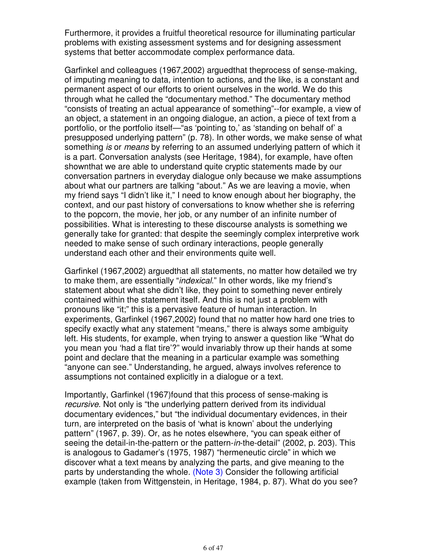Furthermore, it provides a fruitful theoretical resource for illuminating particular problems with existing assessment systems and for designing assessment systems that better accommodate complex performance data.

Garfinkel and colleagues (1967,2002) arguedthat theprocess of sense-making, of imputing meaning to data, intention to actions, and the like, is a constant and permanent aspect of our efforts to orient ourselves in the world. We do this through what he called the "documentary method." The documentary method "consists of treating an actual appearance of something"--for example, a view of an object, a statement in an ongoing dialogue, an action, a piece of text from a portfolio, or the portfolio itself—"as 'pointing to,' as 'standing on behalf of' a presupposed underlying pattern" (p. 78). In other words, we make sense of what something is or means by referring to an assumed underlying pattern of which it is a part. Conversation analysts (see Heritage, 1984), for example, have often shownthat we are able to understand quite cryptic statements made by our conversation partners in everyday dialogue only because we make assumptions about what our partners are talking "about." As we are leaving a movie, when my friend says "I didn't like it," I need to know enough about her biography, the context, and our past history of conversations to know whether she is referring to the popcorn, the movie, her job, or any number of an infinite number of possibilities. What is interesting to these discourse analysts is something we generally take for granted: that despite the seemingly complex interpretive work needed to make sense of such ordinary interactions, people generally understand each other and their environments quite well.

Garfinkel (1967,2002) arguedthat all statements, no matter how detailed we try to make them, are essentially "indexical." In other words, like my friend's statement about what she didn't like, they point to something never entirely contained within the statement itself. And this is not just a problem with pronouns like "it;" this is a pervasive feature of human interaction. In experiments, Garfinkel (1967,2002) found that no matter how hard one tries to specify exactly what any statement "means," there is always some ambiguity left. His students, for example, when trying to answer a question like "What do you mean you 'had a flat tire'?" would invariably throw up their hands at some point and declare that the meaning in a particular example was something "anyone can see." Understanding, he argued, always involves reference to assumptions not contained explicitly in a dialogue or a text.

Importantly, Garfinkel (1967)found that this process of sense-making is recursive. Not only is "the underlying pattern derived from its individual documentary evidences," but "the individual documentary evidences, in their turn, are interpreted on the basis of 'what is known' about the underlying pattern" (1967, p. 39). Or, as he notes elsewhere, "you can speak either of seeing the detail-in-the-pattern or the pattern-in-the-detail" (2002, p. 203). This is analogous to Gadamer's (1975, 1987) "hermeneutic circle" in which we discover what a text means by analyzing the parts, and give meaning to the parts by understanding the whole. (Note 3) Consider the following artificial example (taken from Wittgenstein, in Heritage, 1984, p. 87). What do you see?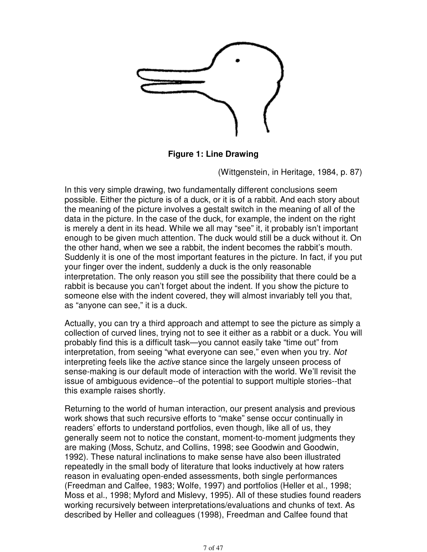

**Figure 1: Line Drawing**

(Wittgenstein, in Heritage, 1984, p. 87)

In this very simple drawing, two fundamentally different conclusions seem possible. Either the picture is of a duck, or it is of a rabbit. And each story about the meaning of the picture involves a gestalt switch in the meaning of all of the data in the picture. In the case of the duck, for example, the indent on the right is merely a dent in its head. While we all may "see" it, it probably isn't important enough to be given much attention. The duck would still be a duck without it. On the other hand, when we see a rabbit, the indent becomes the rabbit's mouth. Suddenly it is one of the most important features in the picture. In fact, if you put your finger over the indent, suddenly a duck is the only reasonable interpretation. The only reason you still see the possibility that there could be a rabbit is because you can't forget about the indent. If you show the picture to someone else with the indent covered, they will almost invariably tell you that, as "anyone can see," it is a duck.

Actually, you can try a third approach and attempt to see the picture as simply a collection of curved lines, trying not to see it either as a rabbit or a duck. You will probably find this is a difficult task—you cannot easily take "time out" from interpretation, from seeing "what everyone can see," even when you try. Not interpreting feels like the active stance since the largely unseen process of sense-making is our default mode of interaction with the world. We'll revisit the issue of ambiguous evidence--of the potential to support multiple stories--that this example raises shortly.

Returning to the world of human interaction, our present analysis and previous work shows that such recursive efforts to "make" sense occur continually in readers' efforts to understand portfolios, even though, like all of us, they generally seem not to notice the constant, moment-to-moment judgments they are making (Moss, Schutz, and Collins, 1998; see Goodwin and Goodwin, 1992). These natural inclinations to make sense have also been illustrated repeatedly in the small body of literature that looks inductively at how raters reason in evaluating open-ended assessments, both single performances (Freedman and Calfee, 1983; Wolfe, 1997) and portfolios (Heller et al., 1998; Moss et al., 1998; Myford and Mislevy, 1995). All of these studies found readers working recursively between interpretations/evaluations and chunks of text. As described by Heller and colleagues (1998), Freedman and Calfee found that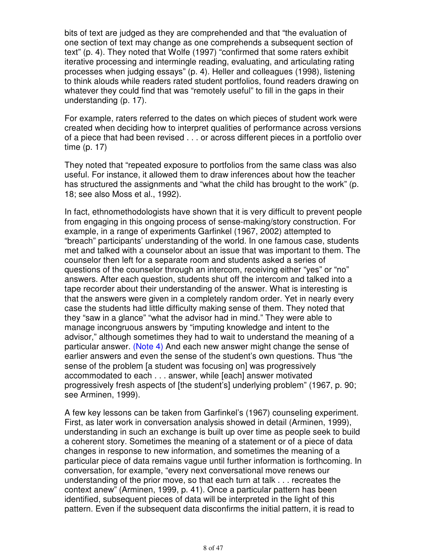bits of text are judged as they are comprehended and that "the evaluation of one section of text may change as one comprehends a subsequent section of text" (p. 4). They noted that Wolfe (1997) "confirmed that some raters exhibit iterative processing and intermingle reading, evaluating, and articulating rating processes when judging essays" (p. 4). Heller and colleagues (1998), listening to think alouds while readers rated student portfolios, found readers drawing on whatever they could find that was "remotely useful" to fill in the gaps in their understanding (p. 17).

For example, raters referred to the dates on which pieces of student work were created when deciding how to interpret qualities of performance across versions of a piece that had been revised . . . or across different pieces in a portfolio over time (p. 17)

They noted that "repeated exposure to portfolios from the same class was also useful. For instance, it allowed them to draw inferences about how the teacher has structured the assignments and "what the child has brought to the work" (p. 18; see also Moss et al., 1992).

In fact, ethnomethodologists have shown that it is very difficult to prevent people from engaging in this ongoing process of sense-making/story construction. For example, in a range of experiments Garfinkel (1967, 2002) attempted to "breach" participants' understanding of the world. In one famous case, students met and talked with a counselor about an issue that was important to them. The counselor then left for a separate room and students asked a series of questions of the counselor through an intercom, receiving either "yes" or "no" answers. After each question, students shut off the intercom and talked into a tape recorder about their understanding of the answer. What is interesting is that the answers were given in a completely random order. Yet in nearly every case the students had little difficulty making sense of them. They noted that they "saw in a glance" "what the advisor had in mind." They were able to manage incongruous answers by "imputing knowledge and intent to the advisor," although sometimes they had to wait to understand the meaning of a particular answer. (Note 4) And each new answer might change the sense of earlier answers and even the sense of the student's own questions. Thus "the sense of the problem [a student was focusing on] was progressively accommodated to each . . . answer, while [each] answer motivated progressively fresh aspects of [the student's] underlying problem" (1967, p. 90; see Arminen, 1999).

A few key lessons can be taken from Garfinkel's (1967) counseling experiment. First, as later work in conversation analysis showed in detail (Arminen, 1999), understanding in such an exchange is built up over time as people seek to build a coherent story. Sometimes the meaning of a statement or of a piece of data changes in response to new information, and sometimes the meaning of a particular piece of data remains vague until further information is forthcoming. In conversation, for example, "every next conversational move renews our understanding of the prior move, so that each turn at talk . . . recreates the context anew" (Arminen, 1999, p. 41). Once a particular pattern has been identified, subsequent pieces of data will be interpreted in the light of this pattern. Even if the subsequent data disconfirms the initial pattern, it is read to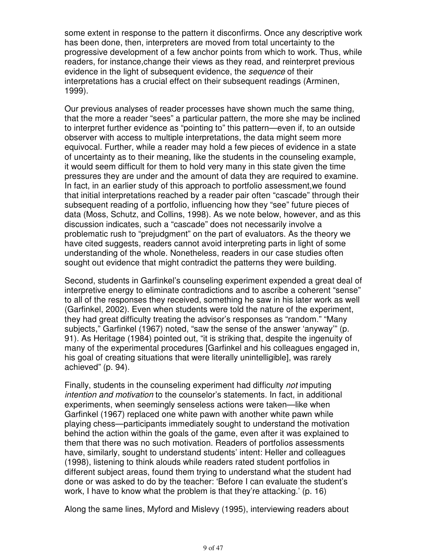some extent in response to the pattern it disconfirms. Once any descriptive work has been done, then, interpreters are moved from total uncertainty to the progressive development of a few anchor points from which to work. Thus, while readers, for instance,change their views as they read, and reinterpret previous evidence in the light of subsequent evidence, the sequence of their interpretations has a crucial effect on their subsequent readings (Arminen, 1999).

Our previous analyses of reader processes have shown much the same thing, that the more a reader "sees" a particular pattern, the more she may be inclined to interpret further evidence as "pointing to" this pattern—even if, to an outside observer with access to multiple interpretations, the data might seem more equivocal. Further, while a reader may hold a few pieces of evidence in a state of uncertainty as to their meaning, like the students in the counseling example, it would seem difficult for them to hold very many in this state given the time pressures they are under and the amount of data they are required to examine. In fact, in an earlier study of this approach to portfolio assessment,we found that initial interpretations reached by a reader pair often "cascade" through their subsequent reading of a portfolio, influencing how they "see" future pieces of data (Moss, Schutz, and Collins, 1998). As we note below, however, and as this discussion indicates, such a "cascade" does not necessarily involve a problematic rush to "prejudgment" on the part of evaluators. As the theory we have cited suggests, readers cannot avoid interpreting parts in light of some understanding of the whole. Nonetheless, readers in our case studies often sought out evidence that might contradict the patterns they were building.

Second, students in Garfinkel's counseling experiment expended a great deal of interpretive energy to eliminate contradictions and to ascribe a coherent "sense" to all of the responses they received, something he saw in his later work as well (Garfinkel, 2002). Even when students were told the nature of the experiment, they had great difficulty treating the advisor's responses as "random." "Many subjects," Garfinkel (1967) noted, "saw the sense of the answer 'anyway'" (p. 91). As Heritage (1984) pointed out, "it is striking that, despite the ingenuity of many of the experimental procedures [Garfinkel and his colleagues engaged in, his goal of creating situations that were literally unintelligible], was rarely achieved" (p. 94).

Finally, students in the counseling experiment had difficulty not imputing intention and motivation to the counselor's statements. In fact, in additional experiments, when seemingly senseless actions were taken—like when Garfinkel (1967) replaced one white pawn with another white pawn while playing chess—participants immediately sought to understand the motivation behind the action within the goals of the game, even after it was explained to them that there was no such motivation. Readers of portfolios assessments have, similarly, sought to understand students' intent: Heller and colleagues (1998), listening to think alouds while readers rated student portfolios in different subject areas, found them trying to understand what the student had done or was asked to do by the teacher: 'Before I can evaluate the student's work, I have to know what the problem is that they're attacking.' (p. 16)

Along the same lines, Myford and Mislevy (1995), interviewing readers about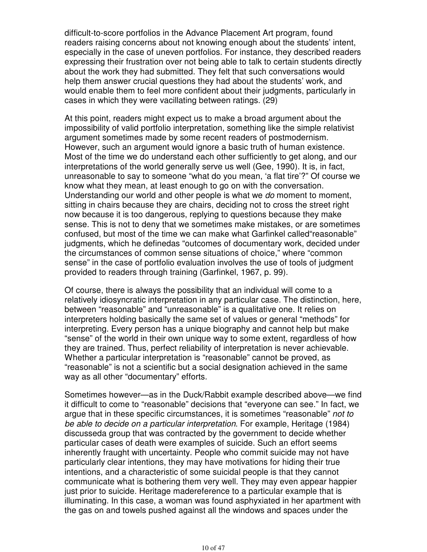difficult-to-score portfolios in the Advance Placement Art program, found readers raising concerns about not knowing enough about the students' intent, especially in the case of uneven portfolios. For instance, they described readers expressing their frustration over not being able to talk to certain students directly about the work they had submitted. They felt that such conversations would help them answer crucial questions they had about the students' work, and would enable them to feel more confident about their judgments, particularly in cases in which they were vacillating between ratings. (29)

At this point, readers might expect us to make a broad argument about the impossibility of valid portfolio interpretation, something like the simple relativist argument sometimes made by some recent readers of postmodernism. However, such an argument would ignore a basic truth of human existence. Most of the time we do understand each other sufficiently to get along, and our interpretations of the world generally serve us well (Gee, 1990). It is, in fact, unreasonable to say to someone "what do you mean, 'a flat tire'?" Of course we know what they mean, at least enough to go on with the conversation. Understanding our world and other people is what we do moment to moment, sitting in chairs because they are chairs, deciding not to cross the street right now because it is too dangerous, replying to questions because they make sense. This is not to deny that we sometimes make mistakes, or are sometimes confused, but most of the time we can make what Garfinkel called"reasonable" judgments, which he definedas "outcomes of documentary work, decided under the circumstances of common sense situations of choice," where "common sense" in the case of portfolio evaluation involves the use of tools of judgment provided to readers through training (Garfinkel, 1967, p. 99).

Of course, there is always the possibility that an individual will come to a relatively idiosyncratic interpretation in any particular case. The distinction, here, between "reasonable" and "unreasonable" is a qualitative one. It relies on interpreters holding basically the same set of values or general "methods" for interpreting. Every person has a unique biography and cannot help but make "sense" of the world in their own unique way to some extent, regardless of how they are trained. Thus, perfect reliability of interpretation is never achievable. Whether a particular interpretation is "reasonable" cannot be proved, as "reasonable" is not a scientific but a social designation achieved in the same way as all other "documentary" efforts.

Sometimes however—as in the Duck/Rabbit example described above—we find it difficult to come to "reasonable" decisions that "everyone can see." In fact, we argue that in these specific circumstances, it is sometimes "reasonable" not to be able to decide on a particular interpretation. For example, Heritage (1984) discusseda group that was contracted by the government to decide whether particular cases of death were examples of suicide. Such an effort seems inherently fraught with uncertainty. People who commit suicide may not have particularly clear intentions, they may have motivations for hiding their true intentions, and a characteristic of some suicidal people is that they cannot communicate what is bothering them very well. They may even appear happier just prior to suicide. Heritage madereference to a particular example that is illuminating. In this case, a woman was found asphyxiated in her apartment with the gas on and towels pushed against all the windows and spaces under the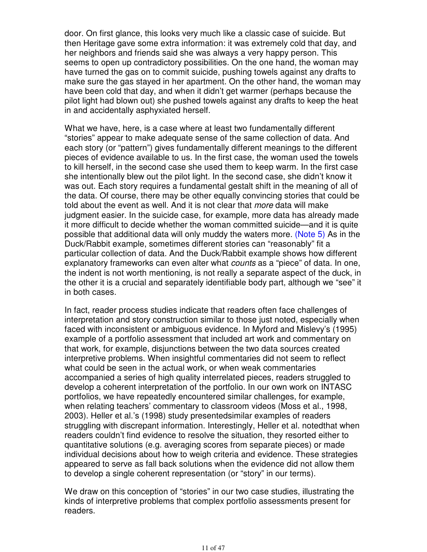door. On first glance, this looks very much like a classic case of suicide. But then Heritage gave some extra information: it was extremely cold that day, and her neighbors and friends said she was always a very happy person. This seems to open up contradictory possibilities. On the one hand, the woman may have turned the gas on to commit suicide, pushing towels against any drafts to make sure the gas stayed in her apartment. On the other hand, the woman may have been cold that day, and when it didn't get warmer (perhaps because the pilot light had blown out) she pushed towels against any drafts to keep the heat in and accidentally asphyxiated herself.

What we have, here, is a case where at least two fundamentally different "stories" appear to make adequate sense of the same collection of data. And each story (or "pattern") gives fundamentally different meanings to the different pieces of evidence available to us. In the first case, the woman used the towels to kill herself, in the second case she used them to keep warm. In the first case she intentionally blew out the pilot light. In the second case, she didn't know it was out. Each story requires a fundamental gestalt shift in the meaning of all of the data. Of course, there may be other equally convincing stories that could be told about the event as well. And it is not clear that *more* data will make judgment easier. In the suicide case, for example, more data has already made it more difficult to decide whether the woman committed suicide—and it is quite possible that additional data will only muddy the waters more. (Note 5) As in the Duck/Rabbit example, sometimes different stories can "reasonably" fit a particular collection of data. And the Duck/Rabbit example shows how different explanatory frameworks can even alter what counts as a "piece" of data. In one, the indent is not worth mentioning, is not really a separate aspect of the duck, in the other it is a crucial and separately identifiable body part, although we "see" it in both cases.

In fact, reader process studies indicate that readers often face challenges of interpretation and story construction similar to those just noted, especially when faced with inconsistent or ambiguous evidence. In Myford and Mislevy's (1995) example of a portfolio assessment that included art work and commentary on that work, for example, disjunctions between the two data sources created interpretive problems. When insightful commentaries did not seem to reflect what could be seen in the actual work, or when weak commentaries accompanied a series of high quality interrelated pieces, readers struggled to develop a coherent interpretation of the portfolio. In our own work on INTASC portfolios, we have repeatedly encountered similar challenges, for example, when relating teachers' commentary to classroom videos (Moss et al., 1998, 2003). Heller et al.'s (1998) study presentedsimilar examples of readers struggling with discrepant information. Interestingly, Heller et al. notedthat when readers couldn't find evidence to resolve the situation, they resorted either to quantitative solutions (e.g. averaging scores from separate pieces) or made individual decisions about how to weigh criteria and evidence. These strategies appeared to serve as fall back solutions when the evidence did not allow them to develop a single coherent representation (or "story" in our terms).

We draw on this conception of "stories" in our two case studies, illustrating the kinds of interpretive problems that complex portfolio assessments present for readers.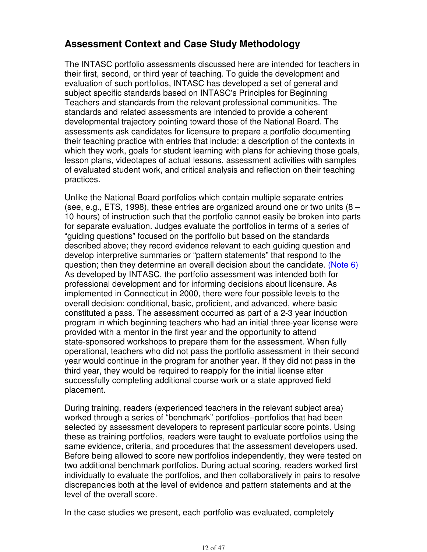## **Assessment Context and Case Study Methodology**

The INTASC portfolio assessments discussed here are intended for teachers in their first, second, or third year of teaching. To guide the development and evaluation of such portfolios, INTASC has developed a set of general and subject specific standards based on INTASC's Principles for Beginning Teachers and standards from the relevant professional communities. The standards and related assessments are intended to provide a coherent developmental trajectory pointing toward those of the National Board. The assessments ask candidates for licensure to prepare a portfolio documenting their teaching practice with entries that include: a description of the contexts in which they work, goals for student learning with plans for achieving those goals, lesson plans, videotapes of actual lessons, assessment activities with samples of evaluated student work, and critical analysis and reflection on their teaching practices.

Unlike the National Board portfolios which contain multiple separate entries (see, e.g., ETS, 1998), these entries are organized around one or two units (8 – 10 hours) of instruction such that the portfolio cannot easily be broken into parts for separate evaluation. Judges evaluate the portfolios in terms of a series of "guiding questions" focused on the portfolio but based on the standards described above; they record evidence relevant to each guiding question and develop interpretive summaries or "pattern statements" that respond to the question; then they determine an overall decision about the candidate. (Note 6) As developed by INTASC, the portfolio assessment was intended both for professional development and for informing decisions about licensure. As implemented in Connecticut in 2000, there were four possible levels to the overall decision: conditional, basic, proficient, and advanced, where basic constituted a pass. The assessment occurred as part of a 2-3 year induction program in which beginning teachers who had an initial three-year license were provided with a mentor in the first year and the opportunity to attend state-sponsored workshops to prepare them for the assessment. When fully operational, teachers who did not pass the portfolio assessment in their second year would continue in the program for another year. If they did not pass in the third year, they would be required to reapply for the initial license after successfully completing additional course work or a state approved field placement.

During training, readers (experienced teachers in the relevant subject area) worked through a series of "benchmark" portfolios--portfolios that had been selected by assessment developers to represent particular score points. Using these as training portfolios, readers were taught to evaluate portfolios using the same evidence, criteria, and procedures that the assessment developers used. Before being allowed to score new portfolios independently, they were tested on two additional benchmark portfolios. During actual scoring, readers worked first individually to evaluate the portfolios, and then collaboratively in pairs to resolve discrepancies both at the level of evidence and pattern statements and at the level of the overall score.

In the case studies we present, each portfolio was evaluated, completely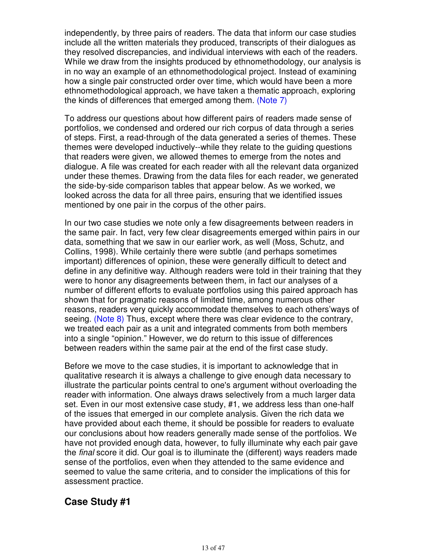independently, by three pairs of readers. The data that inform our case studies include all the written materials they produced, transcripts of their dialogues as they resolved discrepancies, and individual interviews with each of the readers. While we draw from the insights produced by ethnomethodology, our analysis is in no way an example of an ethnomethodological project. Instead of examining how a single pair constructed order over time, which would have been a more ethnomethodological approach, we have taken a thematic approach, exploring the kinds of differences that emerged among them. (Note 7)

To address our questions about how different pairs of readers made sense of portfolios, we condensed and ordered our rich corpus of data through a series of steps. First, a read-through of the data generated a series of themes. These themes were developed inductively--while they relate to the guiding questions that readers were given, we allowed themes to emerge from the notes and dialogue. A file was created for each reader with all the relevant data organized under these themes. Drawing from the data files for each reader, we generated the side-by-side comparison tables that appear below. As we worked, we looked across the data for all three pairs, ensuring that we identified issues mentioned by one pair in the corpus of the other pairs.

In our two case studies we note only a few disagreements between readers in the same pair. In fact, very few clear disagreements emerged within pairs in our data, something that we saw in our earlier work, as well (Moss, Schutz, and Collins, 1998). While certainly there were subtle (and perhaps sometimes important) differences of opinion, these were generally difficult to detect and define in any definitive way. Although readers were told in their training that they were to honor any disagreements between them, in fact our analyses of a number of different efforts to evaluate portfolios using this paired approach has shown that for pragmatic reasons of limited time, among numerous other reasons, readers very quickly accommodate themselves to each others'ways of seeing. (Note 8) Thus, except where there was clear evidence to the contrary, we treated each pair as a unit and integrated comments from both members into a single "opinion." However, we do return to this issue of differences between readers within the same pair at the end of the first case study.

Before we move to the case studies, it is important to acknowledge that in qualitative research it is always a challenge to give enough data necessary to illustrate the particular points central to one's argument without overloading the reader with information. One always draws selectively from a much larger data set. Even in our most extensive case study, #1, we address less than one-half of the issues that emerged in our complete analysis. Given the rich data we have provided about each theme, it should be possible for readers to evaluate our conclusions about how readers generally made sense of the portfolios. We have not provided enough data, however, to fully illuminate why each pair gave the final score it did. Our goal is to illuminate the (different) ways readers made sense of the portfolios, even when they attended to the same evidence and seemed to value the same criteria, and to consider the implications of this for assessment practice.

## **Case Study #1**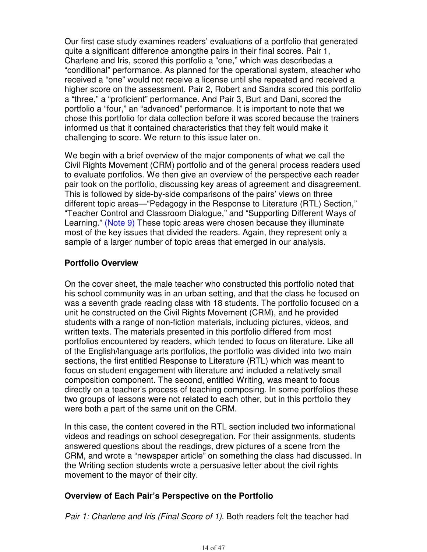Our first case study examines readers' evaluations of a portfolio that generated quite a significant difference amongthe pairs in their final scores. Pair 1, Charlene and Iris, scored this portfolio a "one," which was describedas a "conditional" performance. As planned for the operational system, ateacher who received a "one" would not receive a license until she repeated and received a higher score on the assessment. Pair 2, Robert and Sandra scored this portfolio a "three," a "proficient" performance. And Pair 3, Burt and Dani, scored the portfolio a "four," an "advanced" performance. It is important to note that we chose this portfolio for data collection before it was scored because the trainers informed us that it contained characteristics that they felt would make it challenging to score. We return to this issue later on.

We begin with a brief overview of the major components of what we call the Civil Rights Movement (CRM) portfolio and of the general process readers used to evaluate portfolios. We then give an overview of the perspective each reader pair took on the portfolio, discussing key areas of agreement and disagreement. This is followed by side-by-side comparisons of the pairs' views on three different topic areas—"Pedagogy in the Response to Literature (RTL) Section," "Teacher Control and Classroom Dialogue," and "Supporting Different Ways of Learning." (Note 9) These topic areas were chosen because they illuminate most of the key issues that divided the readers. Again, they represent only a sample of a larger number of topic areas that emerged in our analysis.

### **Portfolio Overview**

On the cover sheet, the male teacher who constructed this portfolio noted that his school community was in an urban setting, and that the class he focused on was a seventh grade reading class with 18 students. The portfolio focused on a unit he constructed on the Civil Rights Movement (CRM), and he provided students with a range of non-fiction materials, including pictures, videos, and written texts. The materials presented in this portfolio differed from most portfolios encountered by readers, which tended to focus on literature. Like all of the English/language arts portfolios, the portfolio was divided into two main sections, the first entitled Response to Literature (RTL) which was meant to focus on student engagement with literature and included a relatively small composition component. The second, entitled Writing, was meant to focus directly on a teacher's process of teaching composing. In some portfolios these two groups of lessons were not related to each other, but in this portfolio they were both a part of the same unit on the CRM.

In this case, the content covered in the RTL section included two informational videos and readings on school desegregation. For their assignments, students answered questions about the readings, drew pictures of a scene from the CRM, and wrote a "newspaper article" on something the class had discussed. In the Writing section students wrote a persuasive letter about the civil rights movement to the mayor of their city.

### **Overview of Each Pair's Perspective on the Portfolio**

Pair 1: Charlene and Iris (Final Score of 1). Both readers felt the teacher had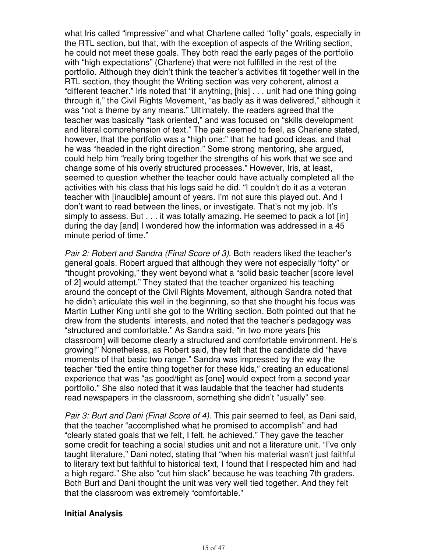what Iris called "impressive" and what Charlene called "lofty" goals, especially in the RTL section, but that, with the exception of aspects of the Writing section, he could not meet these goals. They both read the early pages of the portfolio with "high expectations" (Charlene) that were not fulfilled in the rest of the portfolio. Although they didn't think the teacher's activities fit together well in the RTL section, they thought the Writing section was very coherent, almost a "different teacher." Iris noted that "if anything, [his] . . . unit had one thing going through it," the Civil Rights Movement, "as badly as it was delivered," although it was "not a theme by any means." Ultimately, the readers agreed that the teacher was basically "task oriented," and was focused on "skills development and literal comprehension of text." The pair seemed to feel, as Charlene stated, however, that the portfolio was a "high one:" that he had good ideas, and that he was "headed in the right direction." Some strong mentoring, she argued, could help him "really bring together the strengths of his work that we see and change some of his overly structured processes." However, Iris, at least, seemed to question whether the teacher could have actually completed all the activities with his class that his logs said he did. "I couldn't do it as a veteran teacher with [inaudible] amount of years. I'm not sure this played out. And I don't want to read between the lines, or investigate. That's not my job. It's simply to assess. But . . . it was totally amazing. He seemed to pack a lot [in] during the day [and] I wondered how the information was addressed in a 45 minute period of time."

Pair 2: Robert and Sandra (Final Score of 3). Both readers liked the teacher's general goals. Robert argued that although they were not especially "lofty" or "thought provoking," they went beyond what a "solid basic teacher [score level of 2] would attempt." They stated that the teacher organized his teaching around the concept of the Civil Rights Movement, although Sandra noted that he didn't articulate this well in the beginning, so that she thought his focus was Martin Luther King until she got to the Writing section. Both pointed out that he drew from the students' interests, and noted that the teacher's pedagogy was "structured and comfortable." As Sandra said, "in two more years [his classroom] will become clearly a structured and comfortable environment. He's growing!" Nonetheless, as Robert said, they felt that the candidate did "have moments of that basic two range." Sandra was impressed by the way the teacher "tied the entire thing together for these kids," creating an educational experience that was "as good/tight as [one] would expect from a second year portfolio." She also noted that it was laudable that the teacher had students read newspapers in the classroom, something she didn't "usually" see.

Pair 3: Burt and Dani (Final Score of 4). This pair seemed to feel, as Dani said, that the teacher "accomplished what he promised to accomplish" and had "clearly stated goals that we felt, I felt, he achieved." They gave the teacher some credit for teaching a social studies unit and not a literature unit. "I've only taught literature," Dani noted, stating that "when his material wasn't just faithful to literary text but faithful to historical text, I found that I respected him and had a high regard." She also "cut him slack" because he was teaching 7th graders. Both Burt and Dani thought the unit was very well tied together. And they felt that the classroom was extremely "comfortable."

#### **Initial Analysis**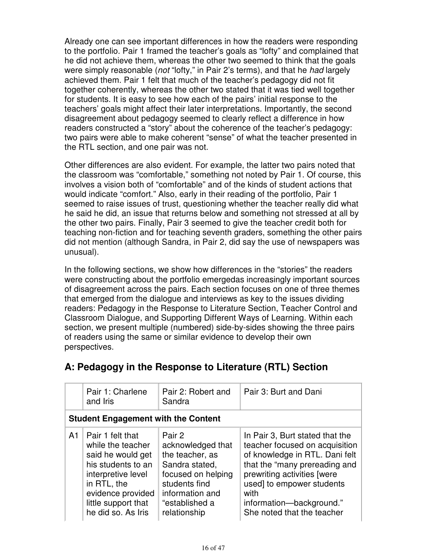Already one can see important differences in how the readers were responding to the portfolio. Pair 1 framed the teacher's goals as "lofty" and complained that he did not achieve them, whereas the other two seemed to think that the goals were simply reasonable (not "lofty," in Pair 2's terms), and that he had largely achieved them. Pair 1 felt that much of the teacher's pedagogy did not fit together coherently, whereas the other two stated that it was tied well together for students. It is easy to see how each of the pairs' initial response to the teachers' goals might affect their later interpretations. Importantly, the second disagreement about pedagogy seemed to clearly reflect a difference in how readers constructed a "story" about the coherence of the teacher's pedagogy: two pairs were able to make coherent "sense" of what the teacher presented in the RTL section, and one pair was not.

Other differences are also evident. For example, the latter two pairs noted that the classroom was "comfortable," something not noted by Pair 1. Of course, this involves a vision both of "comfortable" and of the kinds of student actions that would indicate "comfort." Also, early in their reading of the portfolio, Pair 1 seemed to raise issues of trust, questioning whether the teacher really did what he said he did, an issue that returns below and something not stressed at all by the other two pairs. Finally, Pair 3 seemed to give the teacher credit both for teaching non-fiction and for teaching seventh graders, something the other pairs did not mention (although Sandra, in Pair 2, did say the use of newspapers was unusual).

In the following sections, we show how differences in the "stories" the readers were constructing about the portfolio emergedas increasingly important sources of disagreement across the pairs. Each section focuses on one of three themes that emerged from the dialogue and interviews as key to the issues dividing readers: Pedagogy in the Response to Literature Section, Teacher Control and Classroom Dialogue, and Supporting Different Ways of Learning. Within each section, we present multiple (numbered) side-by-sides showing the three pairs of readers using the same or similar evidence to develop their own perspectives.

|    | Pair 1: Charlene<br>and <i>Iris</i>                                                                                                                                                     | Pair 2: Robert and<br>Sandra                                                                                                                                 | Pair 3: Burt and Dani                                                                                                                                                                                                                                              |
|----|-----------------------------------------------------------------------------------------------------------------------------------------------------------------------------------------|--------------------------------------------------------------------------------------------------------------------------------------------------------------|--------------------------------------------------------------------------------------------------------------------------------------------------------------------------------------------------------------------------------------------------------------------|
|    | <b>Student Engagement with the Content</b>                                                                                                                                              |                                                                                                                                                              |                                                                                                                                                                                                                                                                    |
| A1 | Pair 1 felt that<br>while the teacher<br>said he would get<br>his students to an<br>interpretive level<br>in RTL, the<br>evidence provided<br>little support that<br>he did so. As Iris | Pair 2<br>acknowledged that<br>the teacher, as<br>Sandra stated,<br>focused on helping<br>students find<br>information and<br>"established a<br>relationship | In Pair 3, Burt stated that the<br>teacher focused on acquisition<br>of knowledge in RTL. Dani felt<br>that the "many prereading and<br>prewriting activities [were<br>used] to empower students<br>with<br>information-background."<br>She noted that the teacher |

## **A: Pedagogy in the Response to Literature (RTL) Section**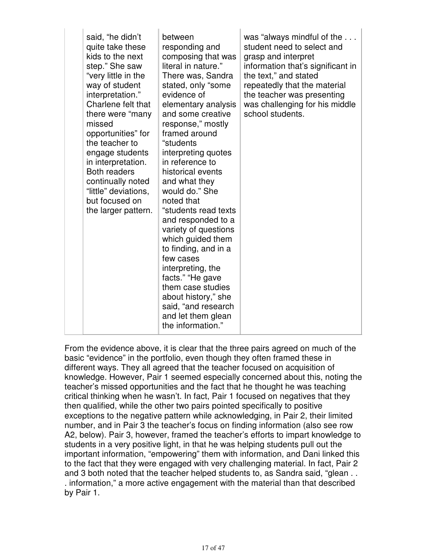| said, "he didn't<br>quite take these<br>kids to the next<br>step." She saw<br>"very little in the<br>way of student<br>interpretation."<br>Charlene felt that<br>there were "many<br>missed<br>opportunities" for<br>the teacher to<br>engage students<br>in interpretation.<br><b>Both readers</b><br>continually noted<br>"little" deviations,<br>but focused on<br>the larger pattern. | between<br>responding and<br>composing that was<br>literal in nature."<br>There was, Sandra<br>stated, only "some<br>evidence of<br>elementary analysis<br>and some creative<br>response," mostly<br>framed around<br>"students<br>interpreting quotes<br>in reference to<br>historical events<br>and what they<br>would do." She<br>noted that<br>"students read texts<br>and responded to a<br>variety of questions<br>which guided them<br>to finding, and in a<br>few cases<br>interpreting, the<br>facts." "He gave<br>them case studies<br>about history," she<br>said, "and research<br>and let them glean<br>the information." | was "always mindful of the<br>student need to select and<br>grasp and interpret<br>information that's significant in<br>the text," and stated<br>repeatedly that the material<br>the teacher was presenting<br>was challenging for his middle<br>school students. |
|-------------------------------------------------------------------------------------------------------------------------------------------------------------------------------------------------------------------------------------------------------------------------------------------------------------------------------------------------------------------------------------------|----------------------------------------------------------------------------------------------------------------------------------------------------------------------------------------------------------------------------------------------------------------------------------------------------------------------------------------------------------------------------------------------------------------------------------------------------------------------------------------------------------------------------------------------------------------------------------------------------------------------------------------|-------------------------------------------------------------------------------------------------------------------------------------------------------------------------------------------------------------------------------------------------------------------|
|-------------------------------------------------------------------------------------------------------------------------------------------------------------------------------------------------------------------------------------------------------------------------------------------------------------------------------------------------------------------------------------------|----------------------------------------------------------------------------------------------------------------------------------------------------------------------------------------------------------------------------------------------------------------------------------------------------------------------------------------------------------------------------------------------------------------------------------------------------------------------------------------------------------------------------------------------------------------------------------------------------------------------------------------|-------------------------------------------------------------------------------------------------------------------------------------------------------------------------------------------------------------------------------------------------------------------|

From the evidence above, it is clear that the three pairs agreed on much of the basic "evidence" in the portfolio, even though they often framed these in different ways. They all agreed that the teacher focused on acquisition of knowledge. However, Pair 1 seemed especially concerned about this, noting the teacher's missed opportunities and the fact that he thought he was teaching critical thinking when he wasn't. In fact, Pair 1 focused on negatives that they then qualified, while the other two pairs pointed specifically to positive exceptions to the negative pattern while acknowledging, in Pair 2, their limited number, and in Pair 3 the teacher's focus on finding information (also see row A2, below). Pair 3, however, framed the teacher's efforts to impart knowledge to students in a very positive light, in that he was helping students pull out the important information, "empowering" them with information, and Dani linked this to the fact that they were engaged with very challenging material. In fact, Pair 2 and 3 both noted that the teacher helped students to, as Sandra said, "glean . . . information," a more active engagement with the material than that described by Pair 1.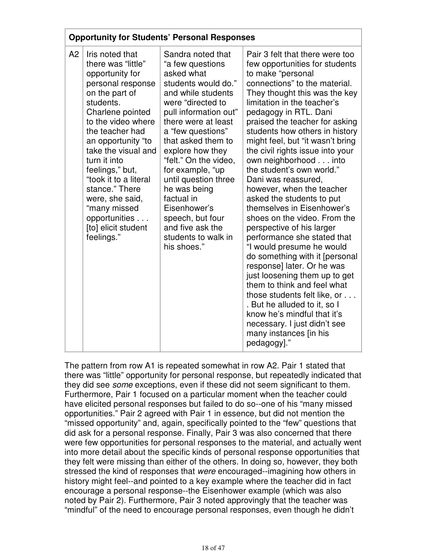|    |                                                                                                                                                                                                                                                                                                                                                                                               | <b>Opportunity for Students' Personal Responses</b>                                                                                                                                                                                                                                                                                                                                                                                   |                                                                                                                                                                                                                                                                                                                                                                                                                                                                                                                                                                                                                                                                                                                                                                                                                                                                                                                                                                    |
|----|-----------------------------------------------------------------------------------------------------------------------------------------------------------------------------------------------------------------------------------------------------------------------------------------------------------------------------------------------------------------------------------------------|---------------------------------------------------------------------------------------------------------------------------------------------------------------------------------------------------------------------------------------------------------------------------------------------------------------------------------------------------------------------------------------------------------------------------------------|--------------------------------------------------------------------------------------------------------------------------------------------------------------------------------------------------------------------------------------------------------------------------------------------------------------------------------------------------------------------------------------------------------------------------------------------------------------------------------------------------------------------------------------------------------------------------------------------------------------------------------------------------------------------------------------------------------------------------------------------------------------------------------------------------------------------------------------------------------------------------------------------------------------------------------------------------------------------|
| A2 | Iris noted that<br>there was "little"<br>opportunity for<br>personal response<br>on the part of<br>students.<br>Charlene pointed<br>to the video where<br>the teacher had<br>an opportunity "to<br>take the visual and<br>turn it into<br>feelings," but,<br>"took it to a literal<br>stance." There<br>were, she said,<br>"many missed<br>opportunities<br>[to] elicit student<br>feelings." | Sandra noted that<br>"a few questions<br>asked what<br>students would do."<br>and while students<br>were "directed to<br>pull information out"<br>there were at least<br>a "few questions"<br>that asked them to<br>explore how they<br>"felt." On the video,<br>for example, "up<br>until question three<br>he was being<br>factual in<br>Eisenhower's<br>speech, but four<br>and five ask the<br>students to walk in<br>his shoes." | Pair 3 felt that there were too<br>few opportunities for students<br>to make "personal<br>connections" to the material.<br>They thought this was the key<br>limitation in the teacher's<br>pedagogy in RTL. Dani<br>praised the teacher for asking<br>students how others in history<br>might feel, but "it wasn't bring<br>the civil rights issue into your<br>own neighborhood into<br>the student's own world."<br>Dani was reassured,<br>however, when the teacher<br>asked the students to put<br>themselves in Eisenhower's<br>shoes on the video. From the<br>perspective of his larger<br>performance she stated that<br>"I would presume he would<br>do something with it [personal<br>response] later. Or he was<br>just loosening them up to get<br>them to think and feel what<br>those students felt like, or<br>. But he alluded to it, so I<br>know he's mindful that it's<br>necessary. I just didn't see<br>many instances [in his<br>pedagogy]." |

The pattern from row A1 is repeated somewhat in row A2. Pair 1 stated that there was "little" opportunity for personal response, but repeatedly indicated that they did see some exceptions, even if these did not seem significant to them. Furthermore, Pair 1 focused on a particular moment when the teacher could have elicited personal responses but failed to do so--one of his "many missed opportunities." Pair 2 agreed with Pair 1 in essence, but did not mention the "missed opportunity" and, again, specifically pointed to the "few" questions that did ask for a personal response. Finally, Pair 3 was also concerned that there were few opportunities for personal responses to the material, and actually went into more detail about the specific kinds of personal response opportunities that they felt were missing than either of the others. In doing so, however, they both stressed the kind of responses that were encouraged--imagining how others in history might feel--and pointed to a key example where the teacher did in fact encourage a personal response--the Eisenhower example (which was also noted by Pair 2). Furthermore, Pair 3 noted approvingly that the teacher was "mindful" of the need to encourage personal responses, even though he didn't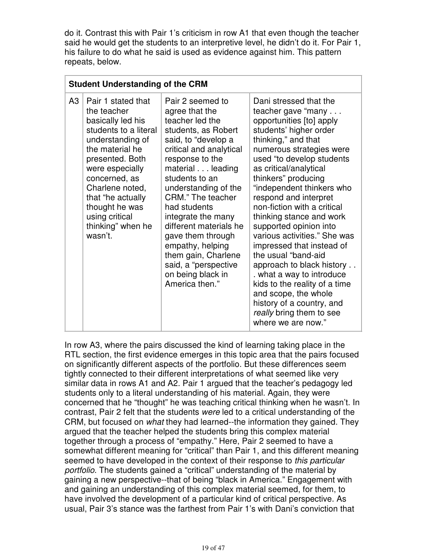do it. Contrast this with Pair 1's criticism in row A1 that even though the teacher said he would get the students to an interpretive level, he didn't do it. For Pair 1, his failure to do what he said is used as evidence against him. This pattern repeats, below.

|    | <b>Student Understanding of the CRM</b>                                                                                                                                                                                                                                                   |                                                                                                                                                                                                                                                                                                                                                                                                                                     |                                                                                                                                                                                                                                                                                                                                                                                                                                                                                                                                                                                                                                                                       |
|----|-------------------------------------------------------------------------------------------------------------------------------------------------------------------------------------------------------------------------------------------------------------------------------------------|-------------------------------------------------------------------------------------------------------------------------------------------------------------------------------------------------------------------------------------------------------------------------------------------------------------------------------------------------------------------------------------------------------------------------------------|-----------------------------------------------------------------------------------------------------------------------------------------------------------------------------------------------------------------------------------------------------------------------------------------------------------------------------------------------------------------------------------------------------------------------------------------------------------------------------------------------------------------------------------------------------------------------------------------------------------------------------------------------------------------------|
| A3 | Pair 1 stated that<br>the teacher<br>basically led his<br>students to a literal<br>understanding of<br>the material he<br>presented. Both<br>were especially<br>concerned, as<br>Charlene noted,<br>that "he actually<br>thought he was<br>using critical<br>thinking" when he<br>wasn't. | Pair 2 seemed to<br>agree that the<br>teacher led the<br>students, as Robert<br>said, to "develop a<br>critical and analytical<br>response to the<br>material leading<br>students to an<br>understanding of the<br>CRM." The teacher<br>had students<br>integrate the many<br>different materials he<br>gave them through<br>empathy, helping<br>them gain, Charlene<br>said, a "perspective<br>on being black in<br>America then." | Dani stressed that the<br>teacher gave "many<br>opportunities [to] apply<br>students' higher order<br>thinking," and that<br>numerous strategies were<br>used "to develop students<br>as critical/analytical<br>thinkers" producing<br>"independent thinkers who<br>respond and interpret<br>non-fiction with a critical<br>thinking stance and work<br>supported opinion into<br>various activities." She was<br>impressed that instead of<br>the usual "band-aid"<br>approach to black history<br>. what a way to introduce<br>kids to the reality of a time<br>and scope, the whole<br>history of a country, and<br>really bring them to see<br>where we are now." |

In row A3, where the pairs discussed the kind of learning taking place in the RTL section, the first evidence emerges in this topic area that the pairs focused on significantly different aspects of the portfolio. But these differences seem tightly connected to their different interpretations of what seemed like very similar data in rows A1 and A2. Pair 1 argued that the teacher's pedagogy led students only to a literal understanding of his material. Again, they were concerned that he "thought" he was teaching critical thinking when he wasn't. In contrast, Pair 2 felt that the students were led to a critical understanding of the CRM, but focused on what they had learned--the information they gained. They argued that the teacher helped the students bring this complex material together through a process of "empathy." Here, Pair 2 seemed to have a somewhat different meaning for "critical" than Pair 1, and this different meaning seemed to have developed in the context of their response to this particular portfolio. The students gained a "critical" understanding of the material by gaining a new perspective--that of being "black in America." Engagement with and gaining an understanding of this complex material seemed, for them, to have involved the development of a particular kind of critical perspective. As usual, Pair 3's stance was the farthest from Pair 1's with Dani's conviction that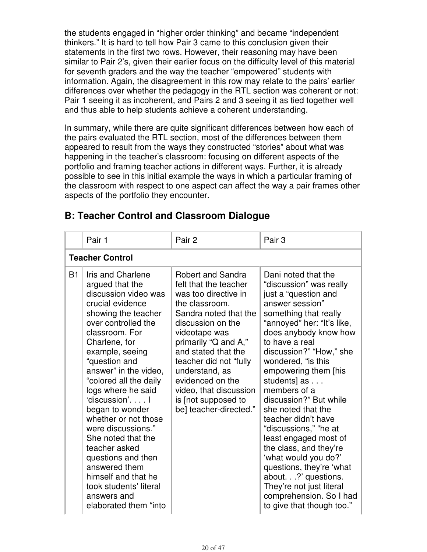the students engaged in "higher order thinking" and became "independent thinkers." It is hard to tell how Pair 3 came to this conclusion given their statements in the first two rows. However, their reasoning may have been similar to Pair 2's, given their earlier focus on the difficulty level of this material for seventh graders and the way the teacher "empowered" students with information. Again, the disagreement in this row may relate to the pairs' earlier differences over whether the pedagogy in the RTL section was coherent or not: Pair 1 seeing it as incoherent, and Pairs 2 and 3 seeing it as tied together well and thus able to help students achieve a coherent understanding.

In summary, while there are quite significant differences between how each of the pairs evaluated the RTL section, most of the differences between them appeared to result from the ways they constructed "stories" about what was happening in the teacher's classroom: focusing on different aspects of the portfolio and framing teacher actions in different ways. Further, it is already possible to see in this initial example the ways in which a particular framing of the classroom with respect to one aspect can affect the way a pair frames other aspects of the portfolio they encounter.

|           | Pair 1                                                                                                                                                                                                                                                                                                                                                                                                                                                                                                                                  | Pair 2                                                                                                                                                                                                                                                                                                                                               | Pair 3                                                                                                                                                                                                                                                                                                                                                                                                                                                                                                                                                                                                                 |
|-----------|-----------------------------------------------------------------------------------------------------------------------------------------------------------------------------------------------------------------------------------------------------------------------------------------------------------------------------------------------------------------------------------------------------------------------------------------------------------------------------------------------------------------------------------------|------------------------------------------------------------------------------------------------------------------------------------------------------------------------------------------------------------------------------------------------------------------------------------------------------------------------------------------------------|------------------------------------------------------------------------------------------------------------------------------------------------------------------------------------------------------------------------------------------------------------------------------------------------------------------------------------------------------------------------------------------------------------------------------------------------------------------------------------------------------------------------------------------------------------------------------------------------------------------------|
|           | <b>Teacher Control</b>                                                                                                                                                                                                                                                                                                                                                                                                                                                                                                                  |                                                                                                                                                                                                                                                                                                                                                      |                                                                                                                                                                                                                                                                                                                                                                                                                                                                                                                                                                                                                        |
| <b>B1</b> | Iris and Charlene<br>argued that the<br>discussion video was<br>crucial evidence<br>showing the teacher<br>over controlled the<br>classroom. For<br>Charlene, for<br>example, seeing<br>"question and<br>answer" in the video,<br>"colored all the daily<br>logs where he said<br>'discussion'I<br>began to wonder<br>whether or not those<br>were discussions."<br>She noted that the<br>teacher asked<br>questions and then<br>answered them<br>himself and that he<br>took students' literal<br>answers and<br>elaborated them "into | <b>Robert and Sandra</b><br>felt that the teacher<br>was too directive in<br>the classroom.<br>Sandra noted that the<br>discussion on the<br>videotape was<br>primarily "Q and A,"<br>and stated that the<br>teacher did not "fully<br>understand, as<br>evidenced on the<br>video, that discussion<br>is [not supposed to<br>be] teacher-directed." | Dani noted that the<br>"discussion" was really<br>just a "question and<br>answer session"<br>something that really<br>"annoyed" her: "It's like,<br>does anybody know how<br>to have a real<br>discussion?" "How," she<br>wondered, "is this<br>empowering them [his<br>students] as<br>members of a<br>discussion?" But while<br>she noted that the<br>teacher didn't have<br>"discussions," "he at<br>least engaged most of<br>the class, and they're<br>'what would you do?'<br>questions, they're 'what<br>about.?' questions.<br>They're not just literal<br>comprehension. So I had<br>to give that though too." |

## **B: Teacher Control and Classroom Dialogue**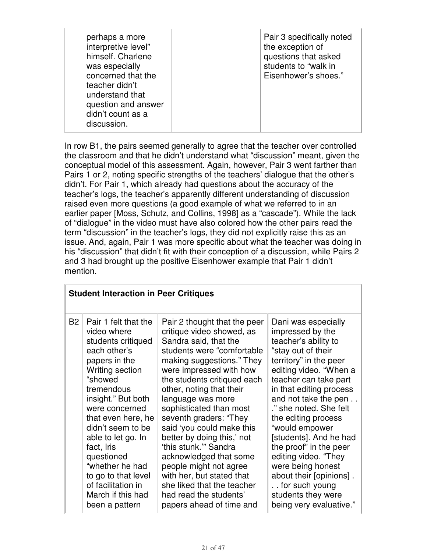| perhaps a more<br>interpretive level"<br>himself. Charlene<br>was especially<br>concerned that the<br>teacher didn't<br>understand that<br>question and answer<br>didn't count as a | Pair 3 specifically noted<br>the exception of<br>questions that asked<br>students to "walk in<br>Eisenhower's shoes." |
|-------------------------------------------------------------------------------------------------------------------------------------------------------------------------------------|-----------------------------------------------------------------------------------------------------------------------|
| discussion.                                                                                                                                                                         |                                                                                                                       |

In row B1, the pairs seemed generally to agree that the teacher over controlled the classroom and that he didn't understand what "discussion" meant, given the conceptual model of this assessment. Again, however, Pair 3 went farther than Pairs 1 or 2, noting specific strengths of the teachers' dialogue that the other's didn't. For Pair 1, which already had questions about the accuracy of the teacher's logs, the teacher's apparently different understanding of discussion raised even more questions (a good example of what we referred to in an earlier paper [Moss, Schutz, and Collins, 1998] as a "cascade"). While the lack of "dialogue" in the video must have also colored how the other pairs read the term "discussion" in the teacher's logs, they did not explicitly raise this as an issue. And, again, Pair 1 was more specific about what the teacher was doing in his "discussion" that didn't fit with their conception of a discussion, while Pairs 2 and 3 had brought up the positive Eisenhower example that Pair 1 didn't mention.

|           | <b>Student Interaction in Peer Critiques</b> |                              |                         |  |
|-----------|----------------------------------------------|------------------------------|-------------------------|--|
| <b>B2</b> | Pair 1 felt that the                         | Pair 2 thought that the peer | Dani was especially     |  |
|           | video where                                  | critique video showed, as    | impressed by the        |  |
|           | students critiqued                           | Sandra said, that the        | teacher's ability to    |  |
|           | each other's                                 | students were "comfortable   | "stay out of their      |  |
|           | papers in the                                | making suggestions." They    | territory" in the peer  |  |
|           | Writing section                              | were impressed with how      | editing video. "When a  |  |
|           | "showed                                      | the students critiqued each  | teacher can take part   |  |
|           | tremendous                                   | other, noting that their     | in that editing process |  |
|           | insight." But both                           | language was more            | and not take the pen    |  |
|           | were concerned                               | sophisticated than most      | ." she noted. She felt  |  |
|           | that even here, he                           | seventh graders: "They       | the editing process     |  |
|           | didn't seem to be                            | said 'you could make this    | "would empower          |  |
|           | able to let go. In                           | better by doing this,' not   | [students]. And he had  |  |
|           | fact, Iris                                   | 'this stunk."" Sandra        | the proof" in the peer  |  |
|           | questioned                                   | acknowledged that some       | editing video. "They    |  |
|           | "whether he had                              | people might not agree       | were being honest       |  |
|           | to go to that level                          | with her, but stated that    | about their [opinions]. |  |
|           | of facilitation in                           | she liked that the teacher   | for such young          |  |
|           | March if this had                            | had read the students'       | students they were      |  |
|           | been a pattern                               | papers ahead of time and     | being very evaluative." |  |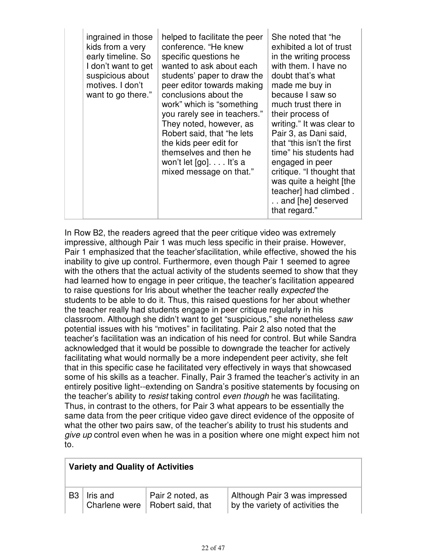|  | ingrained in those<br>kids from a very<br>early timeline. So<br>I don't want to get<br>suspicious about<br>motives. I don't<br>want to go there." | helped to facilitate the peer<br>conference. "He knew<br>specific questions he<br>wanted to ask about each<br>students' paper to draw the<br>peer editor towards making<br>conclusions about the<br>work" which is "something"<br>you rarely see in teachers."<br>They noted, however, as<br>Robert said, that "he lets<br>the kids peer edit for<br>themselves and then he<br>won't let $[go] \ldots$ It's a<br>mixed message on that." | She noted that "he<br>exhibited a lot of trust<br>in the writing process<br>with them. I have no<br>doubt that's what<br>made me buy in<br>because I saw so<br>much trust there in<br>their process of<br>writing." It was clear to<br>Pair 3, as Dani said,<br>that "this isn't the first<br>time" his students had<br>engaged in peer<br>critique. "I thought that<br>was quite a height [the<br>teacher] had climbed.<br>and [he] deserved<br>that regard." |
|--|---------------------------------------------------------------------------------------------------------------------------------------------------|------------------------------------------------------------------------------------------------------------------------------------------------------------------------------------------------------------------------------------------------------------------------------------------------------------------------------------------------------------------------------------------------------------------------------------------|----------------------------------------------------------------------------------------------------------------------------------------------------------------------------------------------------------------------------------------------------------------------------------------------------------------------------------------------------------------------------------------------------------------------------------------------------------------|
|--|---------------------------------------------------------------------------------------------------------------------------------------------------|------------------------------------------------------------------------------------------------------------------------------------------------------------------------------------------------------------------------------------------------------------------------------------------------------------------------------------------------------------------------------------------------------------------------------------------|----------------------------------------------------------------------------------------------------------------------------------------------------------------------------------------------------------------------------------------------------------------------------------------------------------------------------------------------------------------------------------------------------------------------------------------------------------------|

In Row B2, the readers agreed that the peer critique video was extremely impressive, although Pair 1 was much less specific in their praise. However, Pair 1 emphasized that the teacher'sfacilitation, while effective, showed the his inability to give up control. Furthermore, even though Pair 1 seemed to agree with the others that the actual activity of the students seemed to show that they had learned how to engage in peer critique, the teacher's facilitation appeared to raise questions for Iris about whether the teacher really expected the students to be able to do it. Thus, this raised questions for her about whether the teacher really had students engage in peer critique regularly in his classroom. Although she didn't want to get "suspicious," she nonetheless saw potential issues with his "motives" in facilitating. Pair 2 also noted that the teacher's facilitation was an indication of his need for control. But while Sandra acknowledged that it would be possible to downgrade the teacher for actively facilitating what would normally be a more independent peer activity, she felt that in this specific case he facilitated very effectively in ways that showcased some of his skills as a teacher. Finally, Pair 3 framed the teacher's activity in an entirely positive light--extending on Sandra's positive statements by focusing on the teacher's ability to *resist* taking control *even though* he was facilitating. Thus, in contrast to the others, for Pair 3 what appears to be essentially the same data from the peer critique video gave direct evidence of the opposite of what the other two pairs saw, of the teacher's ability to trust his students and give up control even when he was in a position where one might expect him not to.

|                | <b>Variety and Quality of Activities</b> |                                                       |                                                                   |  |
|----------------|------------------------------------------|-------------------------------------------------------|-------------------------------------------------------------------|--|
| B <sub>3</sub> | Iris and                                 | Pair 2 noted, as<br>Charlene were   Robert said, that | Although Pair 3 was impressed<br>by the variety of activities the |  |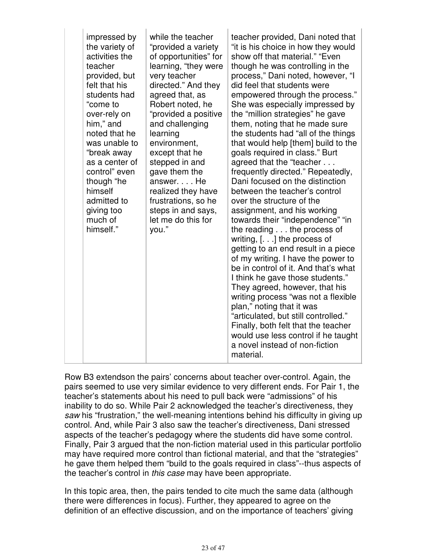|  | impressed by<br>the variety of<br>activities the<br>teacher<br>provided, but<br>felt that his<br>students had<br>"come to<br>over-rely on<br>him," and<br>noted that he<br>was unable to<br>"break away<br>as a center of<br>control" even<br>though "he<br>himself<br>admitted to<br>giving too<br>much of<br>himself." | while the teacher<br>"provided a variety<br>of opportunities" for<br>learning, "they were<br>very teacher<br>directed." And they<br>agreed that, as<br>Robert noted, he<br>"provided a positive<br>and challenging<br>learning<br>environment,<br>except that he<br>stepped in and<br>gave them the<br>answer. He<br>realized they have<br>frustrations, so he<br>steps in and says,<br>let me do this for<br>you." | teacher provided, Dani noted that<br>"it is his choice in how they would<br>show off that material." "Even<br>though he was controlling in the<br>process," Dani noted, however, "I<br>did feel that students were<br>empowered through the process."<br>She was especially impressed by<br>the "million strategies" he gave<br>them, noting that he made sure<br>the students had "all of the things"<br>that would help [them] build to the<br>goals required in class." Burt<br>agreed that the "teacher<br>frequently directed." Repeatedly,<br>Dani focused on the distinction<br>between the teacher's control<br>over the structure of the<br>assignment, and his working<br>towards their "independence" "in<br>the reading $\dots$ the process of<br>writing, $[]$ the process of<br>getting to an end result in a piece<br>of my writing. I have the power to<br>be in control of it. And that's what<br>I think he gave those students."<br>They agreed, however, that his<br>writing process "was not a flexible"<br>plan," noting that it was<br>"articulated, but still controlled."<br>Finally, both felt that the teacher<br>would use less control if he taught<br>a novel instead of non-fiction |
|--|--------------------------------------------------------------------------------------------------------------------------------------------------------------------------------------------------------------------------------------------------------------------------------------------------------------------------|---------------------------------------------------------------------------------------------------------------------------------------------------------------------------------------------------------------------------------------------------------------------------------------------------------------------------------------------------------------------------------------------------------------------|--------------------------------------------------------------------------------------------------------------------------------------------------------------------------------------------------------------------------------------------------------------------------------------------------------------------------------------------------------------------------------------------------------------------------------------------------------------------------------------------------------------------------------------------------------------------------------------------------------------------------------------------------------------------------------------------------------------------------------------------------------------------------------------------------------------------------------------------------------------------------------------------------------------------------------------------------------------------------------------------------------------------------------------------------------------------------------------------------------------------------------------------------------------------------------------------------------------------|
|--|--------------------------------------------------------------------------------------------------------------------------------------------------------------------------------------------------------------------------------------------------------------------------------------------------------------------------|---------------------------------------------------------------------------------------------------------------------------------------------------------------------------------------------------------------------------------------------------------------------------------------------------------------------------------------------------------------------------------------------------------------------|--------------------------------------------------------------------------------------------------------------------------------------------------------------------------------------------------------------------------------------------------------------------------------------------------------------------------------------------------------------------------------------------------------------------------------------------------------------------------------------------------------------------------------------------------------------------------------------------------------------------------------------------------------------------------------------------------------------------------------------------------------------------------------------------------------------------------------------------------------------------------------------------------------------------------------------------------------------------------------------------------------------------------------------------------------------------------------------------------------------------------------------------------------------------------------------------------------------------|

Row B3 extendson the pairs' concerns about teacher over-control. Again, the pairs seemed to use very similar evidence to very different ends. For Pair 1, the teacher's statements about his need to pull back were "admissions" of his inability to do so. While Pair 2 acknowledged the teacher's directiveness, they saw his "frustration," the well-meaning intentions behind his difficulty in giving up control. And, while Pair 3 also saw the teacher's directiveness, Dani stressed aspects of the teacher's pedagogy where the students did have some control. Finally, Pair 3 argued that the non-fiction material used in this particular portfolio may have required more control than fictional material, and that the "strategies" he gave them helped them "build to the goals required in class"--thus aspects of the teacher's control in this case may have been appropriate.

In this topic area, then, the pairs tended to cite much the same data (although there were differences in focus). Further, they appeared to agree on the definition of an effective discussion, and on the importance of teachers' giving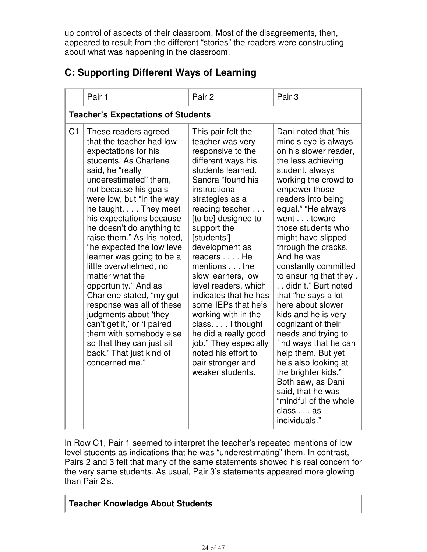up control of aspects of their classroom. Most of the disagreements, then, appeared to result from the different "stories" the readers were constructing about what was happening in the classroom.

|  | <b>C: Supporting Different Ways of Learning</b> |  |
|--|-------------------------------------------------|--|
|--|-------------------------------------------------|--|

|                | Pair 1                                                                                                                                                                                                                                                                                                                                                                                                                                                                                                                                                                                                                                                                      | Pair 2                                                                                                                                                                                                                                                                                                                                                                                                                                                                                                                                            | Pair <sub>3</sub>                                                                                                                                                                                                                                                                                                                                                                                                                                                                                                                                                                                                                                                                          |
|----------------|-----------------------------------------------------------------------------------------------------------------------------------------------------------------------------------------------------------------------------------------------------------------------------------------------------------------------------------------------------------------------------------------------------------------------------------------------------------------------------------------------------------------------------------------------------------------------------------------------------------------------------------------------------------------------------|---------------------------------------------------------------------------------------------------------------------------------------------------------------------------------------------------------------------------------------------------------------------------------------------------------------------------------------------------------------------------------------------------------------------------------------------------------------------------------------------------------------------------------------------------|--------------------------------------------------------------------------------------------------------------------------------------------------------------------------------------------------------------------------------------------------------------------------------------------------------------------------------------------------------------------------------------------------------------------------------------------------------------------------------------------------------------------------------------------------------------------------------------------------------------------------------------------------------------------------------------------|
|                | <b>Teacher's Expectations of Students</b>                                                                                                                                                                                                                                                                                                                                                                                                                                                                                                                                                                                                                                   |                                                                                                                                                                                                                                                                                                                                                                                                                                                                                                                                                   |                                                                                                                                                                                                                                                                                                                                                                                                                                                                                                                                                                                                                                                                                            |
| C <sub>1</sub> | These readers agreed<br>that the teacher had low<br>expectations for his<br>students. As Charlene<br>said, he "really<br>underestimated" them,<br>not because his goals<br>were low, but "in the way<br>he taught. They meet<br>his expectations because<br>he doesn't do anything to<br>raise them." As Iris noted,<br>"he expected the low level<br>learner was going to be a<br>little overwhelmed, no<br>matter what the<br>opportunity." And as<br>Charlene stated, "my gut<br>response was all of these<br>judgments about 'they<br>can't get it,' or 'I paired<br>them with somebody else<br>so that they can just sit<br>back.' That just kind of<br>concerned me." | This pair felt the<br>teacher was very<br>responsive to the<br>different ways his<br>students learned.<br>Sandra "found his<br>instructional<br>strategies as a<br>reading teacher<br>[to be] designed to<br>support the<br>[students']<br>development as<br>readers He<br>mentions the<br>slow learners, low<br>level readers, which<br>indicates that he has<br>some IEPs that he's<br>working with in the<br>class. I thought<br>he did a really good<br>job." They especially<br>noted his effort to<br>pair stronger and<br>weaker students. | Dani noted that "his<br>mind's eye is always<br>on his slower reader,<br>the less achieving<br>student, always<br>working the crowd to<br>empower those<br>readers into being<br>equal." "He always<br>went toward<br>those students who<br>might have slipped<br>through the cracks.<br>And he was<br>constantly committed<br>to ensuring that they.<br>didn't." Burt noted<br>that "he says a lot<br>here about slower<br>kids and he is very<br>cognizant of their<br>needs and trying to<br>find ways that he can<br>help them. But yet<br>he's also looking at<br>the brighter kids."<br>Both saw, as Dani<br>said, that he was<br>"mindful of the whole<br>class as<br>individuals." |

In Row C1, Pair 1 seemed to interpret the teacher's repeated mentions of low level students as indications that he was "underestimating" them. In contrast, Pairs 2 and 3 felt that many of the same statements showed his real concern for the very same students. As usual, Pair 3's statements appeared more glowing than Pair 2's.

### **Teacher Knowledge About Students**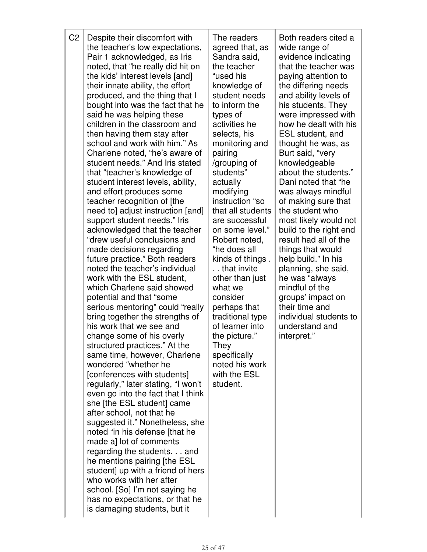| C <sub>2</sub> | Despite their discomfort with<br>the teacher's low expectations,<br>Pair 1 acknowledged, as Iris<br>noted, that "he really did hit on<br>the kids' interest levels [and]<br>their innate ability, the effort<br>produced, and the thing that I<br>bought into was the fact that he<br>said he was helping these<br>children in the classroom and<br>then having them stay after<br>school and work with him." As<br>Charlene noted, "he's aware of<br>student needs." And Iris stated<br>that "teacher's knowledge of<br>student interest levels, ability,<br>and effort produces some<br>teacher recognition of [the<br>need to] adjust instruction [and]<br>support student needs." Iris<br>acknowledged that the teacher<br>"drew useful conclusions and<br>made decisions regarding<br>future practice." Both readers<br>noted the teacher's individual<br>work with the ESL student,<br>which Charlene said showed<br>potential and that "some"<br>serious mentoring" could "really<br>bring together the strengths of<br>his work that we see and<br>change some of his overly<br>structured practices." At the<br>same time, however, Charlene<br>wondered "whether he<br>[conferences with students]<br>regularly," later stating, "I won't<br>even go into the fact that I think<br>she [the ESL student] came<br>after school, not that he<br>suggested it." Nonetheless, she<br>noted "in his defense [that he<br>made a] lot of comments<br>regarding the students. and<br>he mentions pairing [the ESL<br>student] up with a friend of hers<br>who works with her after<br>school. [So] I'm not saying he<br>has no expectations, or that he<br>is damaging students, but it | The readers<br>agreed that, as<br>Sandra said,<br>the teacher<br>"used his<br>knowledge of<br>student needs<br>to inform the<br>types of<br>activities he<br>selects, his<br>monitoring and<br>pairing<br>/grouping of<br>students"<br>actually<br>modifying<br>instruction "so<br>that all students<br>are successful<br>on some level."<br>Robert noted,<br>"he does all<br>kinds of things.<br>that invite<br>other than just<br>what we<br>consider<br>perhaps that<br>traditional type<br>of learner into<br>the picture."<br>They<br>specifically<br>noted his work<br>with the ESL<br>student. | Both readers cited a<br>wide range of<br>evidence indicating<br>that the teacher was<br>paying attention to<br>the differing needs<br>and ability levels of<br>his students. They<br>were impressed with<br>how he dealt with his<br>ESL student, and<br>thought he was, as<br>Burt said, "very<br>knowledgeable<br>about the students."<br>Dani noted that "he<br>was always mindful<br>of making sure that<br>the student who<br>most likely would not<br>build to the right end<br>result had all of the<br>things that would<br>help build." In his<br>planning, she said,<br>he was "always<br>mindful of the<br>groups' impact on<br>their time and<br>individual students to<br>understand and<br>interpret." |
|----------------|-------------------------------------------------------------------------------------------------------------------------------------------------------------------------------------------------------------------------------------------------------------------------------------------------------------------------------------------------------------------------------------------------------------------------------------------------------------------------------------------------------------------------------------------------------------------------------------------------------------------------------------------------------------------------------------------------------------------------------------------------------------------------------------------------------------------------------------------------------------------------------------------------------------------------------------------------------------------------------------------------------------------------------------------------------------------------------------------------------------------------------------------------------------------------------------------------------------------------------------------------------------------------------------------------------------------------------------------------------------------------------------------------------------------------------------------------------------------------------------------------------------------------------------------------------------------------------------------------------------------------------------------------------------------------------------------|-------------------------------------------------------------------------------------------------------------------------------------------------------------------------------------------------------------------------------------------------------------------------------------------------------------------------------------------------------------------------------------------------------------------------------------------------------------------------------------------------------------------------------------------------------------------------------------------------------|----------------------------------------------------------------------------------------------------------------------------------------------------------------------------------------------------------------------------------------------------------------------------------------------------------------------------------------------------------------------------------------------------------------------------------------------------------------------------------------------------------------------------------------------------------------------------------------------------------------------------------------------------------------------------------------------------------------------|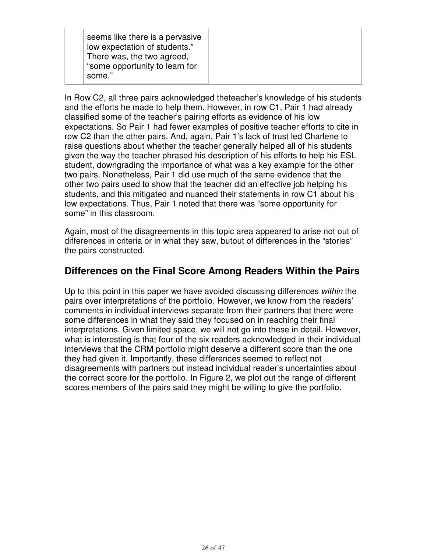seems like there is a pervasive low expectation of students." There was, the two agreed, "some opportunity to learn for some."

In Row C2, all three pairs acknowledged theteacher's knowledge of his students and the efforts he made to help them. However, in row C1, Pair 1 had already classified some of the teacher's pairing efforts as evidence of his low expectations. So Pair 1 had fewer examples of positive teacher efforts to cite in row C2 than the other pairs. And, again, Pair 1's lack of trust led Charlene to raise questions about whether the teacher generally helped all of his students given the way the teacher phrased his description of his efforts to help his ESL student, downgrading the importance of what was a key example for the other two pairs. Nonetheless, Pair 1 did use much of the same evidence that the other two pairs used to show that the teacher did an effective job helping his students, and this mitigated and nuanced their statements in row C1 about his low expectations. Thus, Pair 1 noted that there was "some opportunity for some" in this classroom.

Again, most of the disagreements in this topic area appeared to arise not out of differences in criteria or in what they saw, butout of differences in the "stories" the pairs constructed.

## **Differences on the Final Score Among Readers Within the Pairs**

Up to this point in this paper we have avoided discussing differences within the pairs over interpretations of the portfolio. However, we know from the readers' comments in individual interviews separate from their partners that there were some differences in what they said they focused on in reaching their final interpretations. Given limited space, we will not go into these in detail. However, what is interesting is that four of the six readers acknowledged in their individual interviews that the CRM portfolio might deserve a different score than the one they had given it. Importantly, these differences seemed to reflect not disagreements with partners but instead individual reader's uncertainties about the correct score for the portfolio. In Figure 2, we plot out the range of different scores members of the pairs said they might be willing to give the portfolio.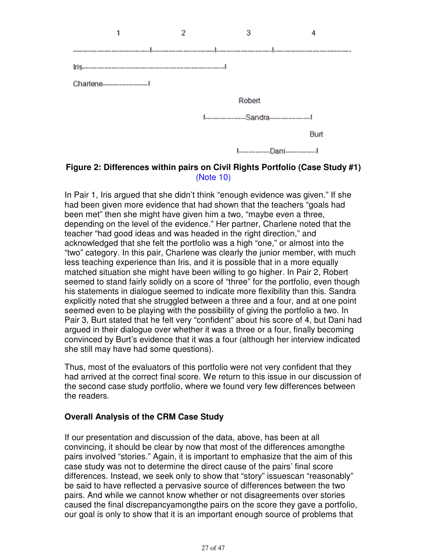

#### **Figure 2: Differences within pairs on Civil Rights Portfolio (Case Study #1)** (Note 10)

In Pair 1, Iris argued that she didn't think "enough evidence was given." If she had been given more evidence that had shown that the teachers "goals had been met" then she might have given him a two, "maybe even a three, depending on the level of the evidence." Her partner, Charlene noted that the teacher "had good ideas and was headed in the right direction," and acknowledged that she felt the portfolio was a high "one," or almost into the "two" category. In this pair, Charlene was clearly the junior member, with much less teaching experience than Iris, and it is possible that in a more equally matched situation she might have been willing to go higher. In Pair 2, Robert seemed to stand fairly solidly on a score of "three" for the portfolio, even though his statements in dialogue seemed to indicate more flexibility than this. Sandra explicitly noted that she struggled between a three and a four, and at one point seemed even to be playing with the possibility of giving the portfolio a two. In Pair 3, Burt stated that he felt very "confident" about his score of 4, but Dani had argued in their dialogue over whether it was a three or a four, finally becoming convinced by Burt's evidence that it was a four (although her interview indicated she still may have had some questions).

Thus, most of the evaluators of this portfolio were not very confident that they had arrived at the correct final score. We return to this issue in our discussion of the second case study portfolio, where we found very few differences between the readers.

#### **Overall Analysis of the CRM Case Study**

If our presentation and discussion of the data, above, has been at all convincing, it should be clear by now that most of the differences amongthe pairs involved "stories." Again, it is important to emphasize that the aim of this case study was not to determine the direct cause of the pairs' final score differences. Instead, we seek only to show that "story" issuescan "reasonably" be said to have reflected a pervasive source of differences between the two pairs. And while we cannot know whether or not disagreements over stories caused the final discrepancyamongthe pairs on the score they gave a portfolio, our goal is only to show that it is an important enough source of problems that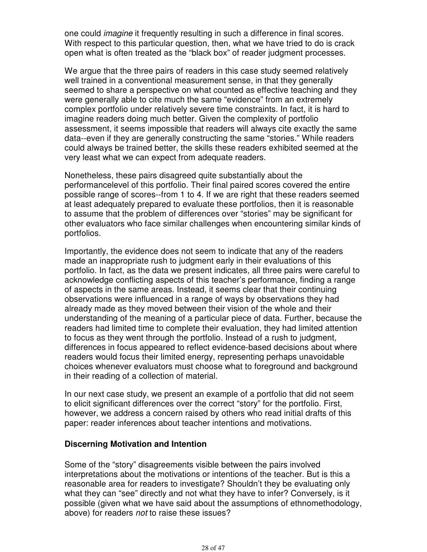one could imagine it frequently resulting in such a difference in final scores. With respect to this particular question, then, what we have tried to do is crack open what is often treated as the "black box" of reader judgment processes.

We argue that the three pairs of readers in this case study seemed relatively well trained in a conventional measurement sense, in that they generally seemed to share a perspective on what counted as effective teaching and they were generally able to cite much the same "evidence" from an extremely complex portfolio under relatively severe time constraints. In fact, it is hard to imagine readers doing much better. Given the complexity of portfolio assessment, it seems impossible that readers will always cite exactly the same data--even if they are generally constructing the same "stories." While readers could always be trained better, the skills these readers exhibited seemed at the very least what we can expect from adequate readers.

Nonetheless, these pairs disagreed quite substantially about the performancelevel of this portfolio. Their final paired scores covered the entire possible range of scores--from 1 to 4. If we are right that these readers seemed at least adequately prepared to evaluate these portfolios, then it is reasonable to assume that the problem of differences over "stories" may be significant for other evaluators who face similar challenges when encountering similar kinds of portfolios.

Importantly, the evidence does not seem to indicate that any of the readers made an inappropriate rush to judgment early in their evaluations of this portfolio. In fact, as the data we present indicates, all three pairs were careful to acknowledge conflicting aspects of this teacher's performance, finding a range of aspects in the same areas. Instead, it seems clear that their continuing observations were influenced in a range of ways by observations they had already made as they moved between their vision of the whole and their understanding of the meaning of a particular piece of data. Further, because the readers had limited time to complete their evaluation, they had limited attention to focus as they went through the portfolio. Instead of a rush to judgment, differences in focus appeared to reflect evidence-based decisions about where readers would focus their limited energy, representing perhaps unavoidable choices whenever evaluators must choose what to foreground and background in their reading of a collection of material.

In our next case study, we present an example of a portfolio that did not seem to elicit significant differences over the correct "story" for the portfolio. First, however, we address a concern raised by others who read initial drafts of this paper: reader inferences about teacher intentions and motivations.

#### **Discerning Motivation and Intention**

Some of the "story" disagreements visible between the pairs involved interpretations about the motivations or intentions of the teacher. But is this a reasonable area for readers to investigate? Shouldn't they be evaluating only what they can "see" directly and not what they have to infer? Conversely, is it possible (given what we have said about the assumptions of ethnomethodology, above) for readers not to raise these issues?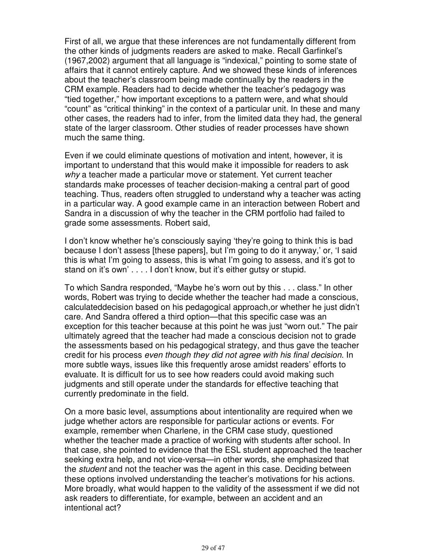First of all, we argue that these inferences are not fundamentally different from the other kinds of judgments readers are asked to make. Recall Garfinkel's (1967,2002) argument that all language is "indexical," pointing to some state of affairs that it cannot entirely capture. And we showed these kinds of inferences about the teacher's classroom being made continually by the readers in the CRM example. Readers had to decide whether the teacher's pedagogy was "tied together," how important exceptions to a pattern were, and what should "count" as "critical thinking" in the context of a particular unit. In these and many other cases, the readers had to infer, from the limited data they had, the general state of the larger classroom. Other studies of reader processes have shown much the same thing.

Even if we could eliminate questions of motivation and intent, however, it is important to understand that this would make it impossible for readers to ask why a teacher made a particular move or statement. Yet current teacher standards make processes of teacher decision-making a central part of good teaching. Thus, readers often struggled to understand why a teacher was acting in a particular way. A good example came in an interaction between Robert and Sandra in a discussion of why the teacher in the CRM portfolio had failed to grade some assessments. Robert said,

I don't know whether he's consciously saying 'they're going to think this is bad because I don't assess [these papers], but I'm going to do it anyway,' or, 'I said this is what I'm going to assess, this is what I'm going to assess, and it's got to stand on it's own' . . . . I don't know, but it's either gutsy or stupid.

To which Sandra responded, "Maybe he's worn out by this . . . class." In other words, Robert was trying to decide whether the teacher had made a conscious, calculateddecision based on his pedagogical approach,or whether he just didn't care. And Sandra offered a third option—that this specific case was an exception for this teacher because at this point he was just "worn out." The pair ultimately agreed that the teacher had made a conscious decision not to grade the assessments based on his pedagogical strategy, and thus gave the teacher credit for his process even though they did not agree with his final decision. In more subtle ways, issues like this frequently arose amidst readers' efforts to evaluate. It is difficult for us to see how readers could avoid making such judgments and still operate under the standards for effective teaching that currently predominate in the field.

On a more basic level, assumptions about intentionality are required when we judge whether actors are responsible for particular actions or events. For example, remember when Charlene, in the CRM case study, questioned whether the teacher made a practice of working with students after school. In that case, she pointed to evidence that the ESL student approached the teacher seeking extra help, and not vice-versa—in other words, she emphasized that the student and not the teacher was the agent in this case. Deciding between these options involved understanding the teacher's motivations for his actions. More broadly, what would happen to the validity of the assessment if we did not ask readers to differentiate, for example, between an accident and an intentional act?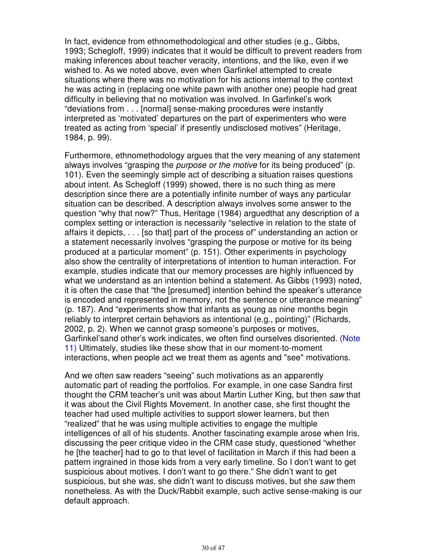In fact, evidence from ethnomethodological and other studies (e.g., Gibbs, 1993; Schegloff, 1999) indicates that it would be difficult to prevent readers from making inferences about teacher veracity, intentions, and the like, even if we wished to. As we noted above, even when Garfinkel attempted to create situations where there was no motivation for his actions internal to the context he was acting in (replacing one white pawn with another one) people had great difficulty in believing that no motivation was involved. In Garfinkel's work "deviations from . . . [normal] sense-making procedures were instantly interpreted as 'motivated' departures on the part of experimenters who were treated as acting from 'special' if presently undisclosed motives" (Heritage, 1984, p. 99).

Furthermore, ethnomethodology argues that the very meaning of any statement always involves "grasping the *purpose or the motive* for its being produced" (p. 101). Even the seemingly simple act of describing a situation raises questions about intent. As Schegloff (1999) showed, there is no such thing as mere description since there are a potentially infinite number of ways any particular situation can be described. A description always involves some answer to the question "why that now?" Thus, Heritage (1984) arguedthat any description of a complex setting or interaction is necessarily "selective in relation to the state of affairs it depicts, . . . [so that] part of the process of" understanding an action or a statement necessarily involves "grasping the purpose or motive for its being produced at a particular moment" (p. 151). Other experiments in psychology also show the centrality of interpretations of intention to human interaction. For example, studies indicate that our memory processes are highly influenced by what we understand as an intention behind a statement. As Gibbs (1993) noted, it is often the case that "the [presumed] intention behind the speaker's utterance is encoded and represented in memory, not the sentence or utterance meaning" (p. 187). And "experiments show that infants as young as nine months begin reliably to interpret certain behaviors as intentional (e.g., pointing)" (Richards, 2002, p. 2). When we cannot grasp someone's purposes or motives, Garfinkel'sand other's work indicates, we often find ourselves disoriented. (Note 11) Ultimately, studies like these show that in our moment-to-moment interactions, when people act we treat them as agents and "see" motivations.

And we often saw readers "seeing" such motivations as an apparently automatic part of reading the portfolios. For example, in one case Sandra first thought the CRM teacher's unit was about Martin Luther King, but then saw that it was about the Civil Rights Movement. In another case, she first thought the teacher had used multiple activities to support slower learners, but then "realized" that he was using multiple activities to engage the multiple intelligences of all of his students. Another fascinating example arose when Iris, discussing the peer critique video in the CRM case study, questioned "whether he [the teacher] had to go to that level of facilitation in March if this had been a pattern ingrained in those kids from a very early timeline. So I don't want to get suspicious about motives. I don't want to go there." She didn't want to get suspicious, but she was, she didn't want to discuss motives, but she saw them nonetheless. As with the Duck/Rabbit example, such active sense-making is our default approach.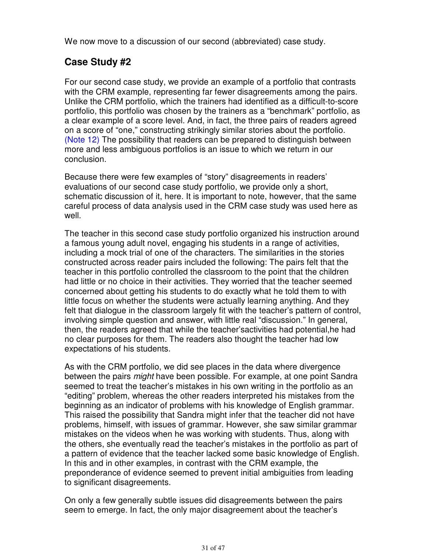We now move to a discussion of our second (abbreviated) case study.

## **Case Study #2**

For our second case study, we provide an example of a portfolio that contrasts with the CRM example, representing far fewer disagreements among the pairs. Unlike the CRM portfolio, which the trainers had identified as a difficult-to-score portfolio, this portfolio was chosen by the trainers as a "benchmark" portfolio, as a clear example of a score level. And, in fact, the three pairs of readers agreed on a score of "one," constructing strikingly similar stories about the portfolio. (Note 12) The possibility that readers can be prepared to distinguish between more and less ambiguous portfolios is an issue to which we return in our conclusion.

Because there were few examples of "story" disagreements in readers' evaluations of our second case study portfolio, we provide only a short, schematic discussion of it, here. It is important to note, however, that the same careful process of data analysis used in the CRM case study was used here as well.

The teacher in this second case study portfolio organized his instruction around a famous young adult novel, engaging his students in a range of activities, including a mock trial of one of the characters. The similarities in the stories constructed across reader pairs included the following: The pairs felt that the teacher in this portfolio controlled the classroom to the point that the children had little or no choice in their activities. They worried that the teacher seemed concerned about getting his students to do exactly what he told them to with little focus on whether the students were actually learning anything. And they felt that dialogue in the classroom largely fit with the teacher's pattern of control, involving simple question and answer, with little real "discussion." In general, then, the readers agreed that while the teacher'sactivities had potential,he had no clear purposes for them. The readers also thought the teacher had low expectations of his students.

As with the CRM portfolio, we did see places in the data where divergence between the pairs might have been possible. For example, at one point Sandra seemed to treat the teacher's mistakes in his own writing in the portfolio as an "editing" problem, whereas the other readers interpreted his mistakes from the beginning as an indicator of problems with his knowledge of English grammar. This raised the possibility that Sandra might infer that the teacher did not have problems, himself, with issues of grammar. However, she saw similar grammar mistakes on the videos when he was working with students. Thus, along with the others, she eventually read the teacher's mistakes in the portfolio as part of a pattern of evidence that the teacher lacked some basic knowledge of English. In this and in other examples, in contrast with the CRM example, the preponderance of evidence seemed to prevent initial ambiguities from leading to significant disagreements.

On only a few generally subtle issues did disagreements between the pairs seem to emerge. In fact, the only major disagreement about the teacher's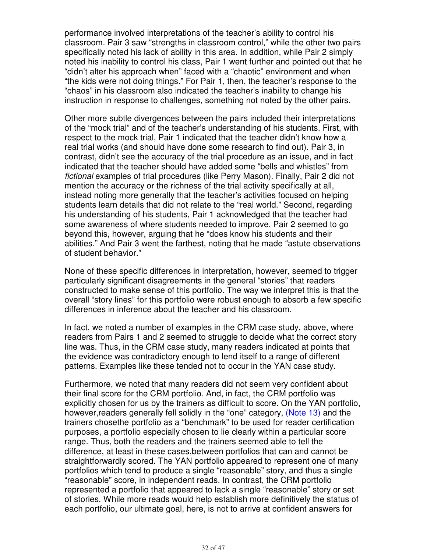performance involved interpretations of the teacher's ability to control his classroom. Pair 3 saw "strengths in classroom control," while the other two pairs specifically noted his lack of ability in this area. In addition, while Pair 2 simply noted his inability to control his class, Pair 1 went further and pointed out that he "didn't alter his approach when" faced with a "chaotic" environment and when "the kids were not doing things." For Pair 1, then, the teacher's response to the "chaos" in his classroom also indicated the teacher's inability to change his instruction in response to challenges, something not noted by the other pairs.

Other more subtle divergences between the pairs included their interpretations of the "mock trial" and of the teacher's understanding of his students. First, with respect to the mock trial, Pair 1 indicated that the teacher didn't know how a real trial works (and should have done some research to find out). Pair 3, in contrast, didn't see the accuracy of the trial procedure as an issue, and in fact indicated that the teacher should have added some "bells and whistles" from fictional examples of trial procedures (like Perry Mason). Finally, Pair 2 did not mention the accuracy or the richness of the trial activity specifically at all, instead noting more generally that the teacher's activities focused on helping students learn details that did not relate to the "real world." Second, regarding his understanding of his students, Pair 1 acknowledged that the teacher had some awareness of where students needed to improve. Pair 2 seemed to go beyond this, however, arguing that he "does know his students and their abilities." And Pair 3 went the farthest, noting that he made "astute observations of student behavior."

None of these specific differences in interpretation, however, seemed to trigger particularly significant disagreements in the general "stories" that readers constructed to make sense of this portfolio. The way we interpret this is that the overall "story lines" for this portfolio were robust enough to absorb a few specific differences in inference about the teacher and his classroom.

In fact, we noted a number of examples in the CRM case study, above, where readers from Pairs 1 and 2 seemed to struggle to decide what the correct story line was. Thus, in the CRM case study, many readers indicated at points that the evidence was contradictory enough to lend itself to a range of different patterns. Examples like these tended not to occur in the YAN case study.

Furthermore, we noted that many readers did not seem very confident about their final score for the CRM portfolio. And, in fact, the CRM portfolio was explicitly chosen for us by the trainers as difficult to score. On the YAN portfolio, however,readers generally fell solidly in the "one" category, (Note 13) and the trainers chosethe portfolio as a "benchmark" to be used for reader certification purposes, a portfolio especially chosen to lie clearly within a particular score range. Thus, both the readers and the trainers seemed able to tell the difference, at least in these cases,between portfolios that can and cannot be straightforwardly scored. The YAN portfolio appeared to represent one of many portfolios which tend to produce a single "reasonable" story, and thus a single "reasonable" score, in independent reads. In contrast, the CRM portfolio represented a portfolio that appeared to lack a single "reasonable" story or set of stories. While more reads would help establish more definitively the status of each portfolio, our ultimate goal, here, is not to arrive at confident answers for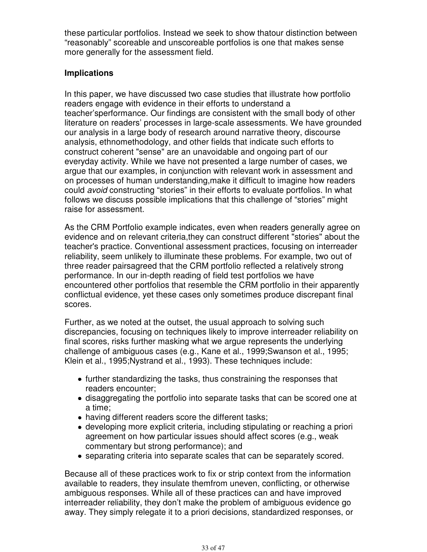these particular portfolios. Instead we seek to show thatour distinction between "reasonably" scoreable and unscoreable portfolios is one that makes sense more generally for the assessment field.

#### **Implications**

In this paper, we have discussed two case studies that illustrate how portfolio readers engage with evidence in their efforts to understand a teacher'sperformance. Our findings are consistent with the small body of other literature on readers' processes in large-scale assessments. We have grounded our analysis in a large body of research around narrative theory, discourse analysis, ethnomethodology, and other fields that indicate such efforts to construct coherent "sense" are an unavoidable and ongoing part of our everyday activity. While we have not presented a large number of cases, we argue that our examples, in conjunction with relevant work in assessment and on processes of human understanding,make it difficult to imagine how readers could avoid constructing "stories" in their efforts to evaluate portfolios. In what follows we discuss possible implications that this challenge of "stories" might raise for assessment.

As the CRM Portfolio example indicates, even when readers generally agree on evidence and on relevant criteria,they can construct different "stories" about the teacher's practice. Conventional assessment practices, focusing on interreader reliability, seem unlikely to illuminate these problems. For example, two out of three reader pairsagreed that the CRM portfolio reflected a relatively strong performance. In our in-depth reading of field test portfolios we have encountered other portfolios that resemble the CRM portfolio in their apparently conflictual evidence, yet these cases only sometimes produce discrepant final scores.

Further, as we noted at the outset, the usual approach to solving such discrepancies, focusing on techniques likely to improve interreader reliability on final scores, risks further masking what we argue represents the underlying challenge of ambiguous cases (e.g., Kane et al., 1999;Swanson et al., 1995; Klein et al., 1995;Nystrand et al., 1993). These techniques include:

- further standardizing the tasks, thus constraining the responses that readers encounter;
- disaggregating the portfolio into separate tasks that can be scored one at a time;
- having different readers score the different tasks;
- developing more explicit criteria, including stipulating or reaching a priori agreement on how particular issues should affect scores (e.g., weak commentary but strong performance); and
- separating criteria into separate scales that can be separately scored.

Because all of these practices work to fix or strip context from the information available to readers, they insulate themfrom uneven, conflicting, or otherwise ambiguous responses. While all of these practices can and have improved interreader reliability, they don't make the problem of ambiguous evidence go away. They simply relegate it to a priori decisions, standardized responses, or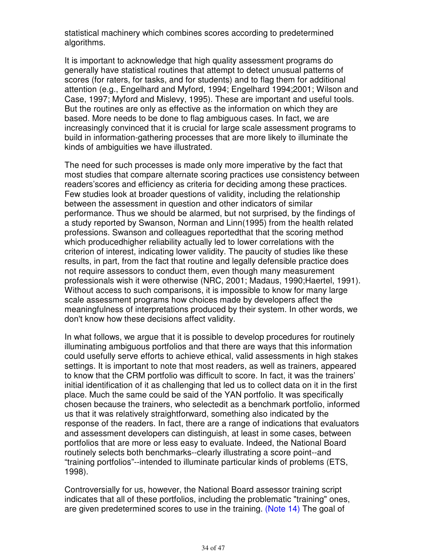statistical machinery which combines scores according to predetermined algorithms.

It is important to acknowledge that high quality assessment programs do generally have statistical routines that attempt to detect unusual patterns of scores (for raters, for tasks, and for students) and to flag them for additional attention (e.g., Engelhard and Myford, 1994; Engelhard 1994;2001; Wilson and Case, 1997; Myford and Mislevy, 1995). These are important and useful tools. But the routines are only as effective as the information on which they are based. More needs to be done to flag ambiguous cases. In fact, we are increasingly convinced that it is crucial for large scale assessment programs to build in information-gathering processes that are more likely to illuminate the kinds of ambiguities we have illustrated.

The need for such processes is made only more imperative by the fact that most studies that compare alternate scoring practices use consistency between readers'scores and efficiency as criteria for deciding among these practices. Few studies look at broader questions of validity, including the relationship between the assessment in question and other indicators of similar performance. Thus we should be alarmed, but not surprised, by the findings of a study reported by Swanson, Norman and Linn(1995) from the health related professions. Swanson and colleagues reportedthat that the scoring method which producedhigher reliability actually led to lower correlations with the criterion of interest, indicating lower validity. The paucity of studies like these results, in part, from the fact that routine and legally defensible practice does not require assessors to conduct them, even though many measurement professionals wish it were otherwise (NRC, 2001; Madaus, 1990;Haertel, 1991). Without access to such comparisons, it is impossible to know for many large scale assessment programs how choices made by developers affect the meaningfulness of interpretations produced by their system. In other words, we don't know how these decisions affect validity.

In what follows, we argue that it is possible to develop procedures for routinely illuminating ambiguous portfolios and that there are ways that this information could usefully serve efforts to achieve ethical, valid assessments in high stakes settings. It is important to note that most readers, as well as trainers, appeared to know that the CRM portfolio was difficult to score. In fact, it was the trainers' initial identification of it as challenging that led us to collect data on it in the first place. Much the same could be said of the YAN portfolio. It was specifically chosen because the trainers, who selectedit as a benchmark portfolio, informed us that it was relatively straightforward, something also indicated by the response of the readers. In fact, there are a range of indications that evaluators and assessment developers can distinguish, at least in some cases, between portfolios that are more or less easy to evaluate. Indeed, the National Board routinely selects both benchmarks--clearly illustrating a score point--and "training portfolios"--intended to illuminate particular kinds of problems (ETS, 1998).

Controversially for us, however, the National Board assessor training script indicates that all of these portfolios, including the problematic "training" ones, are given predetermined scores to use in the training. (Note 14) The goal of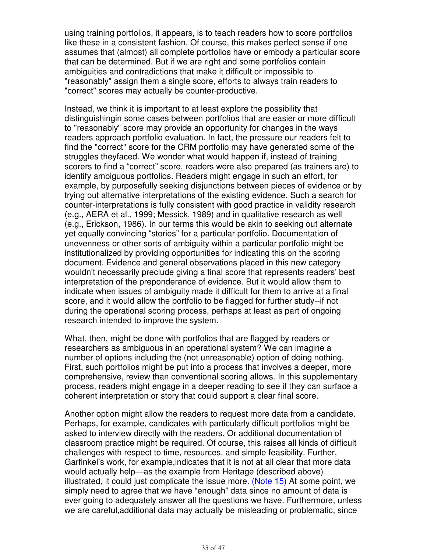using training portfolios, it appears, is to teach readers how to score portfolios like these in a consistent fashion. Of course, this makes perfect sense if one assumes that (almost) all complete portfolios have or embody a particular score that can be determined. But if we are right and some portfolios contain ambiguities and contradictions that make it difficult or impossible to "reasonably" assign them a single score, efforts to always train readers to "correct" scores may actually be counter-productive.

Instead, we think it is important to at least explore the possibility that distinguishingin some cases between portfolios that are easier or more difficult to "reasonably" score may provide an opportunity for changes in the ways readers approach portfolio evaluation. In fact, the pressure our readers felt to find the "correct" score for the CRM portfolio may have generated some of the struggles theyfaced. We wonder what would happen if, instead of training scorers to find a "correct" score, readers were also prepared (as trainers are) to identify ambiguous portfolios. Readers might engage in such an effort, for example, by purposefully seeking disjunctions between pieces of evidence or by trying out alternative interpretations of the existing evidence. Such a search for counter-interpretations is fully consistent with good practice in validity research (e.g., AERA et al., 1999; Messick, 1989) and in qualitative research as well (e.g., Erickson, 1986). In our terms this would be akin to seeking out alternate yet equally convincing "stories" for a particular portfolio. Documentation of unevenness or other sorts of ambiguity within a particular portfolio might be institutionalized by providing opportunities for indicating this on the scoring document. Evidence and general observations placed in this new category wouldn't necessarily preclude giving a final score that represents readers' best interpretation of the preponderance of evidence. But it would allow them to indicate when issues of ambiguity made it difficult for them to arrive at a final score, and it would allow the portfolio to be flagged for further study--if not during the operational scoring process, perhaps at least as part of ongoing research intended to improve the system.

What, then, might be done with portfolios that are flagged by readers or researchers as ambiguous in an operational system? We can imagine a number of options including the (not unreasonable) option of doing nothing. First, such portfolios might be put into a process that involves a deeper, more comprehensive, review than conventional scoring allows. In this supplementary process, readers might engage in a deeper reading to see if they can surface a coherent interpretation or story that could support a clear final score.

Another option might allow the readers to request more data from a candidate. Perhaps, for example, candidates with particularly difficult portfolios might be asked to interview directly with the readers. Or additional documentation of classroom practice might be required. Of course, this raises all kinds of difficult challenges with respect to time, resources, and simple feasibility. Further, Garfinkel's work, for example,indicates that it is not at all clear that more data would actually help—as the example from Heritage (described above) illustrated, it could just complicate the issue more. (Note 15) At some point, we simply need to agree that we have "enough" data since no amount of data is ever going to adequately answer all the questions we have. Furthermore, unless we are careful,additional data may actually be misleading or problematic, since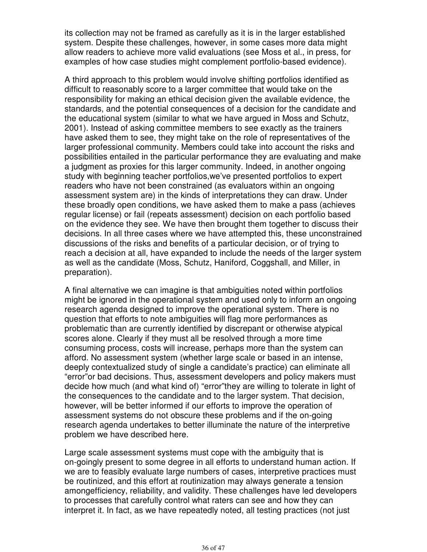its collection may not be framed as carefully as it is in the larger established system. Despite these challenges, however, in some cases more data might allow readers to achieve more valid evaluations (see Moss et al., in press, for examples of how case studies might complement portfolio-based evidence).

A third approach to this problem would involve shifting portfolios identified as difficult to reasonably score to a larger committee that would take on the responsibility for making an ethical decision given the available evidence, the standards, and the potential consequences of a decision for the candidate and the educational system (similar to what we have argued in Moss and Schutz, 2001). Instead of asking committee members to see exactly as the trainers have asked them to see, they might take on the role of representatives of the larger professional community. Members could take into account the risks and possibilities entailed in the particular performance they are evaluating and make a judgment as proxies for this larger community. Indeed, in another ongoing study with beginning teacher portfolios,we've presented portfolios to expert readers who have not been constrained (as evaluators within an ongoing assessment system are) in the kinds of interpretations they can draw. Under these broadly open conditions, we have asked them to make a pass (achieves regular license) or fail (repeats assessment) decision on each portfolio based on the evidence they see. We have then brought them together to discuss their decisions. In all three cases where we have attempted this, these unconstrained discussions of the risks and benefits of a particular decision, or of trying to reach a decision at all, have expanded to include the needs of the larger system as well as the candidate (Moss, Schutz, Haniford, Coggshall, and Miller, in preparation).

A final alternative we can imagine is that ambiguities noted within portfolios might be ignored in the operational system and used only to inform an ongoing research agenda designed to improve the operational system. There is no question that efforts to note ambiguities will flag more performances as problematic than are currently identified by discrepant or otherwise atypical scores alone. Clearly if they must all be resolved through a more time consuming process, costs will increase, perhaps more than the system can afford. No assessment system (whether large scale or based in an intense, deeply contextualized study of single a candidate's practice) can eliminate all "error"or bad decisions. Thus, assessment developers and policy makers must decide how much (and what kind of) "error"they are willing to tolerate in light of the consequences to the candidate and to the larger system. That decision, however, will be better informed if our efforts to improve the operation of assessment systems do not obscure these problems and if the on-going research agenda undertakes to better illuminate the nature of the interpretive problem we have described here.

Large scale assessment systems must cope with the ambiguity that is on-goingly present to some degree in all efforts to understand human action. If we are to feasibly evaluate large numbers of cases, interpretive practices must be routinized, and this effort at routinization may always generate a tension amongefficiency, reliability, and validity. These challenges have led developers to processes that carefully control what raters can see and how they can interpret it. In fact, as we have repeatedly noted, all testing practices (not just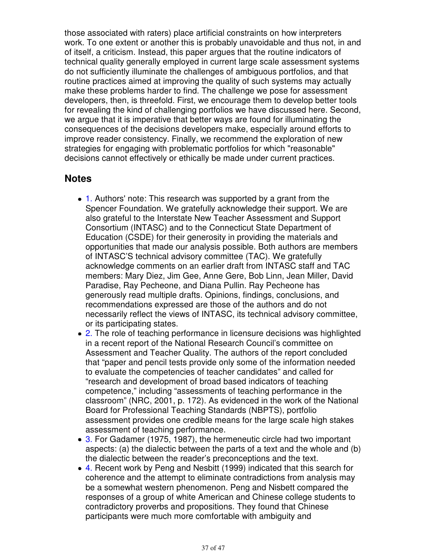those associated with raters) place artificial constraints on how interpreters work. To one extent or another this is probably unavoidable and thus not, in and of itself, a criticism. Instead, this paper argues that the routine indicators of technical quality generally employed in current large scale assessment systems do not sufficiently illuminate the challenges of ambiguous portfolios, and that routine practices aimed at improving the quality of such systems may actually make these problems harder to find. The challenge we pose for assessment developers, then, is threefold. First, we encourage them to develop better tools for revealing the kind of challenging portfolios we have discussed here. Second, we argue that it is imperative that better ways are found for illuminating the consequences of the decisions developers make, especially around efforts to improve reader consistency. Finally, we recommend the exploration of new strategies for engaging with problematic portfolios for which "reasonable" decisions cannot effectively or ethically be made under current practices.

## **Notes**

- 1. Authors' note: This research was supported by a grant from the Spencer Foundation. We gratefully acknowledge their support. We are also grateful to the Interstate New Teacher Assessment and Support Consortium (INTASC) and to the Connecticut State Department of Education (CSDE) for their generosity in providing the materials and opportunities that made our analysis possible. Both authors are members of INTASC'S technical advisory committee (TAC). We gratefully acknowledge comments on an earlier draft from INTASC staff and TAC members: Mary Diez, Jim Gee, Anne Gere, Bob Linn, Jean Miller, David Paradise, Ray Pecheone, and Diana Pullin. Ray Pecheone has generously read multiple drafts. Opinions, findings, conclusions, and recommendations expressed are those of the authors and do not necessarily reflect the views of INTASC, its technical advisory committee, or its participating states.
- 2. The role of teaching performance in licensure decisions was highlighted in a recent report of the National Research Council's committee on Assessment and Teacher Quality. The authors of the report concluded that "paper and pencil tests provide only some of the information needed to evaluate the competencies of teacher candidates" and called for "research and development of broad based indicators of teaching competence," including "assessments of teaching performance in the classroom" (NRC, 2001, p. 172). As evidenced in the work of the National Board for Professional Teaching Standards (NBPTS), portfolio assessment provides one credible means for the large scale high stakes assessment of teaching performance.
- 3. For Gadamer (1975, 1987), the hermeneutic circle had two important aspects: (a) the dialectic between the parts of a text and the whole and (b) the dialectic between the reader's preconceptions and the text.
- 4. Recent work by Peng and Nesbitt (1999) indicated that this search for coherence and the attempt to eliminate contradictions from analysis may be a somewhat western phenomenon. Peng and Nisbett compared the responses of a group of white American and Chinese college students to contradictory proverbs and propositions. They found that Chinese participants were much more comfortable with ambiguity and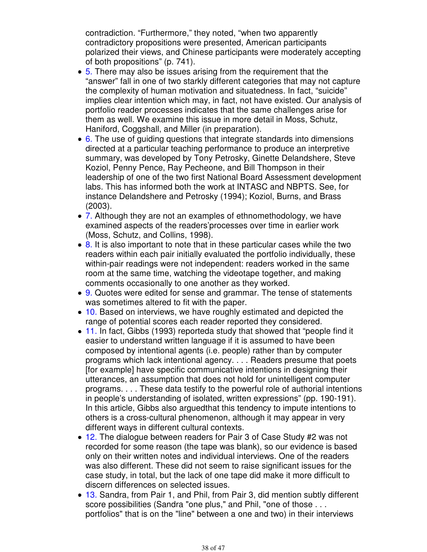contradiction. "Furthermore," they noted, "when two apparently contradictory propositions were presented, American participants polarized their views, and Chinese participants were moderately accepting of both propositions" (p. 741).

- 5. There may also be issues arising from the requirement that the "answer" fall in one of two starkly different categories that may not capture the complexity of human motivation and situatedness. In fact, "suicide" implies clear intention which may, in fact, not have existed. Our analysis of portfolio reader processes indicates that the same challenges arise for them as well. We examine this issue in more detail in Moss, Schutz, Haniford, Coggshall, and Miller (in preparation).
- $\bullet$  6. The use of quiding questions that integrate standards into dimensions directed at a particular teaching performance to produce an interpretive summary, was developed by Tony Petrosky, Ginette Delandshere, Steve Koziol, Penny Pence, Ray Pecheone, and Bill Thompson in their leadership of one of the two first National Board Assessment development labs. This has informed both the work at INTASC and NBPTS. See, for instance Delandshere and Petrosky (1994); Koziol, Burns, and Brass (2003).
- 7. Although they are not an examples of ethnomethodology, we have examined aspects of the readers'processes over time in earlier work (Moss, Schutz, and Collins, 1998).
- 8. It is also important to note that in these particular cases while the two readers within each pair initially evaluated the portfolio individually, these within-pair readings were not independent: readers worked in the same room at the same time, watching the videotape together, and making comments occasionally to one another as they worked.
- 9. Quotes were edited for sense and grammar. The tense of statements was sometimes altered to fit with the paper.
- 10. Based on interviews, we have roughly estimated and depicted the range of potential scores each reader reported they considered.
- 11. In fact, Gibbs (1993) reporteda study that showed that "people find it easier to understand written language if it is assumed to have been composed by intentional agents (i.e. people) rather than by computer programs which lack intentional agency. . . . Readers presume that poets [for example] have specific communicative intentions in designing their utterances, an assumption that does not hold for unintelligent computer programs. . . . These data testify to the powerful role of authorial intentions in people's understanding of isolated, written expressions" (pp. 190-191). In this article, Gibbs also arguedthat this tendency to impute intentions to others is a cross-cultural phenomenon, although it may appear in very different ways in different cultural contexts.
- 12. The dialogue between readers for Pair 3 of Case Study #2 was not recorded for some reason (the tape was blank), so our evidence is based only on their written notes and individual interviews. One of the readers was also different. These did not seem to raise significant issues for the case study, in total, but the lack of one tape did make it more difficult to discern differences on selected issues.
- 13. Sandra, from Pair 1, and Phil, from Pair 3, did mention subtly different score possibilities (Sandra "one plus," and Phil, "one of those . . . portfolios" that is on the "line" between a one and two) in their interviews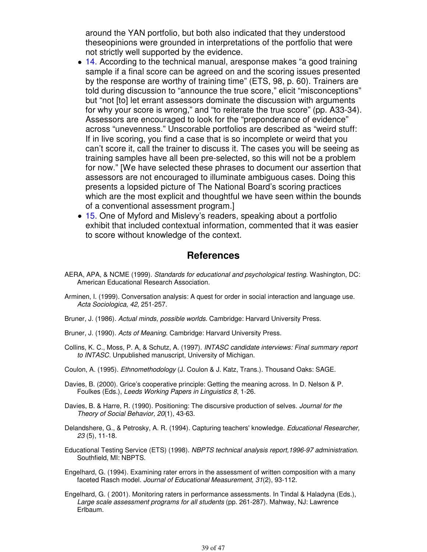around the YAN portfolio, but both also indicated that they understood theseopinions were grounded in interpretations of the portfolio that were not strictly well supported by the evidence.

- 14. According to the technical manual, aresponse makes "a good training sample if a final score can be agreed on and the scoring issues presented by the response are worthy of training time" (ETS, 98, p. 60). Trainers are told during discussion to "announce the true score," elicit "misconceptions" but "not [to] let errant assessors dominate the discussion with arguments for why your score is wrong," and "to reiterate the true score" (pp. A33-34). Assessors are encouraged to look for the "preponderance of evidence" across "unevenness." Unscorable portfolios are described as "weird stuff: If in live scoring, you find a case that is so incomplete or weird that you can't score it, call the trainer to discuss it. The cases you will be seeing as training samples have all been pre-selected, so this will not be a problem for now." [We have selected these phrases to document our assertion that assessors are not encouraged to illuminate ambiguous cases. Doing this presents a lopsided picture of The National Board's scoring practices which are the most explicit and thoughtful we have seen within the bounds of a conventional assessment program.]
- 15. One of Myford and Mislevy's readers, speaking about a portfolio exhibit that included contextual information, commented that it was easier to score without knowledge of the context.

#### **References**

- AERA, APA, & NCME (1999). Standards for educational and psychological testing. Washington, DC: American Educational Research Association.
- Arminen, I. (1999). Conversation analysis: A quest for order in social interaction and language use. Acta Sociologica, 42, 251-257.
- Bruner, J. (1986). Actual minds, possible worlds. Cambridge: Harvard University Press.
- Bruner, J. (1990). Acts of Meaning. Cambridge: Harvard University Press.
- Collins, K. C., Moss, P. A, & Schutz, A. (1997). INTASC candidate interviews: Final summary report to INTASC. Unpublished manuscript, University of Michigan.
- Coulon, A. (1995). Ethnomethodology (J. Coulon & J. Katz, Trans.). Thousand Oaks: SAGE.
- Davies, B. (2000). Grice's cooperative principle: Getting the meaning across. In D. Nelson & P. Foulkes (Eds.), Leeds Working Papers in Linguistics 8, 1-26.
- Davies, B. & Harre, R. (1990). Positioning: The discursive production of selves. Journal for the Theory of Social Behavior, 20(1), 43-63.
- Delandshere, G., & Petrosky, A. R. (1994). Capturing teachers' knowledge. Educational Researcher, 23 (5), 11-18.
- Educational Testing Service (ETS) (1998). NBPTS technical analysis report,1996-97 administration. Southfield, MI: NBPTS.
- Engelhard, G. (1994). Examining rater errors in the assessment of written composition with a many faceted Rasch model. Journal of Educational Measurement, 31(2), 93-112.
- Engelhard, G. ( 2001). Monitoring raters in performance assessments. In Tindal & Haladyna (Eds.), Large scale assessment programs for all students (pp. 261-287). Mahway, NJ: Lawrence Erlbaum.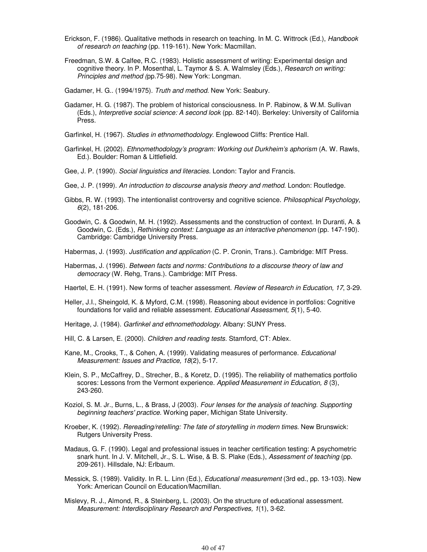- Erickson, F. (1986). Qualitative methods in research on teaching. In M. C. Wittrock (Ed.), Handbook of research on teaching (pp. 119-161). New York: Macmillan.
- Freedman, S.W. & Calfee, R.C. (1983). Holistic assessment of writing: Experimental design and cognitive theory. In P. Mosenthal, L. Taymor & S. A. Walmsley (Eds.), Research on writing: Principles and method (pp.75-98). New York: Longman.
- Gadamer, H. G.. (1994/1975). Truth and method. New York: Seabury.
- Gadamer, H. G. (1987). The problem of historical consciousness. In P. Rabinow, & W.M. Sullivan (Eds.), Interpretive social science: A second look (pp. 82-140). Berkeley: University of California Press.
- Garfinkel, H. (1967). Studies in ethnomethodology. Englewood Cliffs: Prentice Hall.
- Garfinkel, H. (2002). Ethnomethodology's program: Working out Durkheim's aphorism (A. W. Rawls, Ed.). Boulder: Roman & Littlefield.
- Gee, J. P. (1990). Social linguistics and literacies. London: Taylor and Francis.
- Gee, J. P. (1999). An introduction to discourse analysis theory and method. London: Routledge.
- Gibbs, R. W. (1993). The intentionalist controversy and cognitive science. *Philosophical Psychology*, 6(2), 181-206.
- Goodwin, C. & Goodwin, M. H. (1992). Assessments and the construction of context. In Duranti, A. & Goodwin, C. (Eds.), Rethinking context: Language as an interactive phenomenon (pp. 147-190). Cambridge: Cambridge University Press.
- Habermas, J. (1993). Justification and application (C. P. Cronin, Trans.). Cambridge: MIT Press.
- Habermas, J. (1996). Between facts and norms: Contributions to a discourse theory of law and democracy (W. Rehg, Trans.). Cambridge: MIT Press.

Haertel, E. H. (1991). New forms of teacher assessment. Review of Research in Education, 17, 3-29.

- Heller, J.I., Sheingold, K. & Myford, C.M. (1998). Reasoning about evidence in portfolios: Cognitive foundations for valid and reliable assessment. Educational Assessment, 5(1), 5-40.
- Heritage, J. (1984). Garfinkel and ethnomethodology. Albany: SUNY Press.
- Hill, C. & Larsen, E. (2000). Children and reading tests. Stamford, CT: Ablex.
- Kane, M., Crooks, T., & Cohen, A. (1999). Validating measures of performance. *Educational* Measurement: Issues and Practice, 18(2), 5-17.
- Klein, S. P., McCaffrey, D., Strecher, B., & Koretz, D. (1995). The reliability of mathematics portfolio scores: Lessons from the Vermont experience. Applied Measurement in Education, 8 (3), 243-260.
- Koziol, S. M. Jr., Burns, L., & Brass, J (2003). Four lenses for the analysis of teaching. Supporting beginning teachers' practice. Working paper, Michigan State University.
- Kroeber, K. (1992). Rereading/retelling: The fate of storytelling in modern times. New Brunswick: Rutgers University Press.
- Madaus, G. F. (1990). Legal and professional issues in teacher certification testing: A psychometric snark hunt. In J. V. Mitchell, Jr., S. L. Wise, & B. S. Plake (Eds.), Assessment of teaching (pp. 209-261). Hillsdale, NJ: Erlbaum.
- Messick, S. (1989). Validity. In R. L. Linn (Ed.), Educational measurement (3rd ed., pp. 13-103). New York: American Council on Education/Macmillan.
- Mislevy, R. J., Almond, R., & Steinberg, L. (2003). On the structure of educational assessment. Measurement: Interdisciplinary Research and Perspectives, 1(1), 3-62.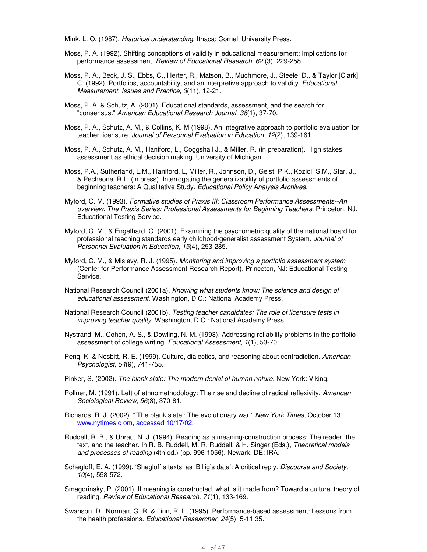Mink, L. O. (1987). Historical understanding. Ithaca: Cornell University Press.

- Moss, P. A. (1992). Shifting conceptions of validity in educational measurement: Implications for performance assessment. Review of Educational Research, 62 (3), 229-258.
- Moss, P. A., Beck, J. S., Ebbs, C., Herter, R., Matson, B., Muchmore, J., Steele, D., & Taylor [Clark], C. (1992). Portfolios, accountability, and an interpretive approach to validity. Educational Measurement. Issues and Practice, 3(11), 12-21.
- Moss, P. A. & Schutz, A. (2001). Educational standards, assessment, and the search for "consensus." American Educational Research Journal, 38(1), 37-70.
- Moss, P. A., Schutz, A. M., & Collins, K. M (1998). An Integrative approach to portfolio evaluation for teacher licensure. Journal of Personnel Evaluation in Education, 12(2), 139-161.
- Moss, P. A., Schutz, A. M., Haniford, L., Coggshall J., & Miller, R. (in preparation). High stakes assessment as ethical decision making. University of Michigan.
- Moss, P.A., Sutherland, L.M., Haniford, L, Miller, R., Johnson, D., Geist, P.K., Koziol, S.M., Star, J., & Pecheone, R.L. (in press). Interrogating the generalizability of portfolio assessments of beginning teachers: A Qualitative Study. Educational Policy Analysis Archives.
- Myford, C. M. (1993). Formative studies of Praxis III: Classroom Performance Assessments--An overview. The Praxis Series: Professional Assessments for Beginning Teachers. Princeton, NJ, Educational Testing Service.
- Myford, C. M., & Engelhard, G. (2001). Examining the psychometric quality of the national board for professional teaching standards early childhood/generalist assessment System. Journal of Personnel Evaluation in Education, 15(4), 253-285.
- Myford, C. M., & Mislevy, R. J. (1995). Monitoring and improving a portfolio assessment system (Center for Performance Assessment Research Report). Princeton, NJ: Educational Testing Service.
- National Research Council (2001a). Knowing what students know: The science and design of educational assessment. Washington, D.C.: National Academy Press.
- National Research Council (2001b). Testing teacher candidates: The role of licensure tests in improving teacher quality. Washington, D.C.: National Academy Press.
- Nystrand, M., Cohen, A. S., & Dowling, N. M. (1993). Addressing reliability problems in the portfolio assessment of college writing. Educational Assessment, 1(1), 53-70.
- Peng, K. & Nesbitt, R. E. (1999). Culture, dialectics, and reasoning about contradiction. American Psychologist, 54(9), 741-755.
- Pinker, S. (2002). The blank slate: The modern denial of human nature. New York: Viking.
- Pollner, M. (1991). Left of ethnomethodology: The rise and decline of radical reflexivity. American Sociological Review, 56(3), 370-81.
- Richards, R. J. (2002). "'The blank slate': The evolutionary war." New York Times, October 13. www.nytimes.c om, accessed 10/17/02.
- Ruddell, R. B., & Unrau, N. J. (1994). Reading as a meaning-construction process: The reader, the text, and the teacher. In R. B. Ruddell, M. R. Ruddell, & H. Singer (Eds.), Theoretical models and processes of reading (4th ed.) (pp. 996-1056). Newark, DE: IRA.
- Schegloff, E. A. (1999). 'Shegloff's texts' as 'Billig's data': A critical reply. Discourse and Society, 10(4), 558-572.
- Smagorinsky, P. (2001). If meaning is constructed, what is it made from? Toward a cultural theory of reading. Review of Educational Research, 71(1), 133-169.
- Swanson, D., Norman, G. R. & Linn, R. L. (1995). Performance-based assessment: Lessons from the health professions. Educational Researcher, 24(5), 5-11,35.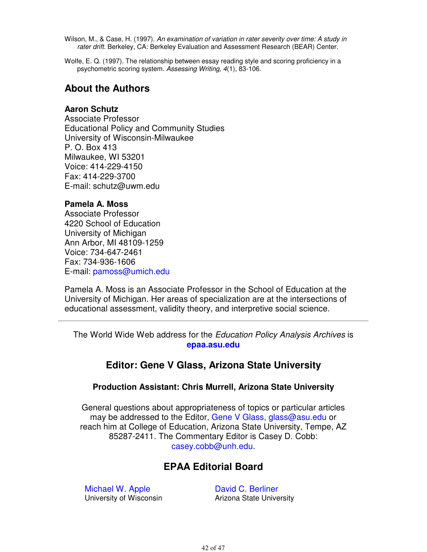- Wilson, M., & Case, H. (1997). An examination of variation in rater severity over time: A study in rater drift. Berkeley, CA: Berkeley Evaluation and Assessment Research (BEAR) Center.
- Wolfe, E. Q. (1997). The relationship between essay reading style and scoring proficiency in a psychometric scoring system. Assessing Writing, 4(1), 83-106.

## **About the Authors**

#### **Aaron Schutz**

Associate Professor Educational Policy and Community Studies University of Wisconsin-Milwaukee P. O. Box 413 Milwaukee, WI 53201 Voice: 414-229-4150 Fax: 414-229-3700 E-mail: schutz@uwm.edu

#### **Pamela A. Moss**

Associate Professor 4220 School of Education University of Michigan Ann Arbor, MI 48109-1259 Voice: 734-647-2461 Fax: 734-936-1606 E-mail: pamoss@umich.edu

Pamela A. Moss is an Associate Professor in the School of Education at the University of Michigan. Her areas of specialization are at the intersections of educational assessment, validity theory, and interpretive social science.

The World Wide Web address for the Education Policy Analysis Archives is **epaa.asu.edu**

## **Editor: Gene V Glass, Arizona State University**

#### **Production Assistant: Chris Murrell, Arizona State University**

General questions about appropriateness of topics or particular articles may be addressed to the Editor, Gene V Glass, glass@asu.edu or reach him at College of Education, Arizona State University, Tempe, AZ 85287-2411. The Commentary Editor is Casey D. Cobb: casey.cobb@unh.edu.

## **EPAA Editorial Board**

Michael W. Apple University of Wisconsin David C. Berliner Arizona State University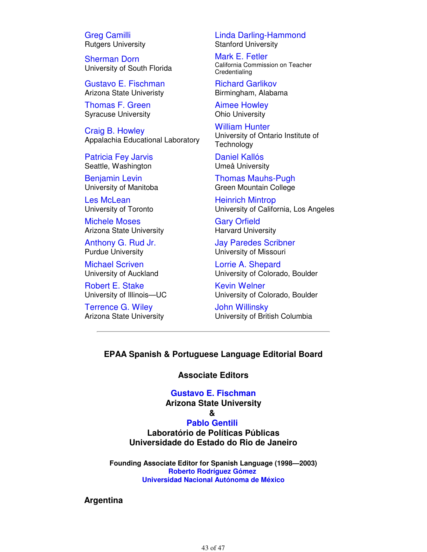Greg Camilli Rutgers University

Sherman Dorn University of South Florida

Gustavo E. Fischman Arizona State Univeristy

Thomas F. Green Syracuse University

Craig B. Howley Appalachia Educational Laboratory

Patricia Fey Jarvis Seattle, Washington

Benjamin Levin University of Manitoba

Les McLean University of Toronto

Michele Moses Arizona State University

Anthony G. Rud Jr. Purdue University

Michael Scriven University of Auckland

Robert E. Stake University of Illinois—UC

Terrence G. Wiley Arizona State University Linda Darling-Hammond Stanford University

Mark E. Fetler California Commission on Teacher **Credentialing** 

Richard Garlikov Birmingham, Alabama

Aimee Howley Ohio University

William Hunter University of Ontario Institute of **Technology** 

Daniel Kallós Umeå University

Thomas Mauhs-Pugh Green Mountain College

Heinrich Mintrop University of California, Los Angeles

Gary Orfield Harvard University

Jay Paredes Scribner University of Missouri

Lorrie A. Shepard University of Colorado, Boulder

Kevin Welner University of Colorado, Boulder

John Willinsky University of British Columbia

#### **EPAA Spanish & Portuguese Language Editorial Board**

**Associate Editors**

#### **Gustavo E. Fischman**

**Arizona State University**

## **&**

**Pablo Gentili Laboratório de Políticas Públicas Universidade do Estado do Rio de Janeiro**

**Founding Associate Editor for Spanish Language (1998—2003) Roberto Rodríguez Gómez Universidad Nacional Autónoma de México**

**Argentina**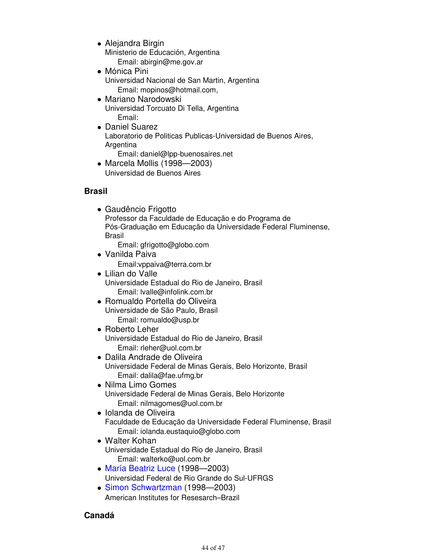- Alejandra Birgin Ministerio de Educación, Argentina Email: abirgin@me.gov.ar
- Mónica Pini Universidad Nacional de San Martin, Argentina Email: mopinos@hotmail.com,
- Mariano Narodowski Universidad Torcuato Di Tella, Argentina Email:
- Daniel Suarez Laboratorio de Politicas Publicas-Universidad de Buenos Aires, Argentina Email: daniel@lpp-buenosaires.net
- Marcela Mollis (1998—2003) Universidad de Buenos Aires

#### **Brasil**

Gaudêncio Frigotto Professor da Faculdade de Educação e do Programa de Pós-Graduação em Educação da Universidade Federal Fluminense, Brasil

Email: gfrigotto@globo.com

- Vanilda Paiva Email:vppaiva@terra.com.br
- Lilian do Valle Universidade Estadual do Rio de Janeiro, Brasil Email: lvalle@infolink.com.br
- Romualdo Portella do Oliveira Universidade de São Paulo, Brasil Email: romualdo@usp.br
- Roberto Leher Universidade Estadual do Rio de Janeiro, Brasil Email: rleher@uol.com.br
- Dalila Andrade de Oliveira Universidade Federal de Minas Gerais, Belo Horizonte, Brasil Email: dalila@fae.ufmg.br
- Nilma Limo Gomes Universidade Federal de Minas Gerais, Belo Horizonte Email: nilmagomes@uol.com.br
- Iolanda de Oliveira Faculdade de Educação da Universidade Federal Fluminense, Brasil Email: iolanda.eustaquio@globo.com
- Walter Kohan Universidade Estadual do Rio de Janeiro, Brasil Email: walterko@uol.com.br
- María Beatriz Luce (1998—2003) Universidad Federal de Rio Grande do Sul-UFRGS
- Simon Schwartzman (1998—2003) American Institutes for Resesarch–Brazil

#### **Canadá**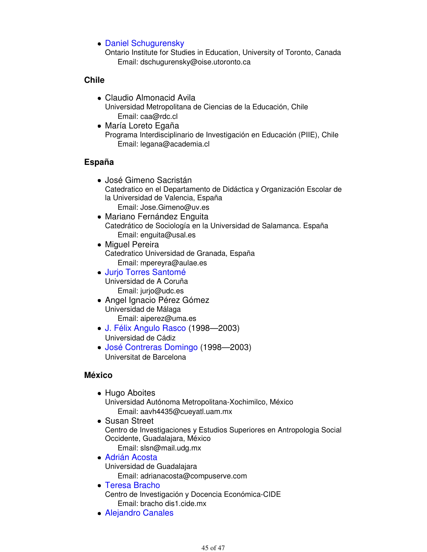Daniel Schugurensky

Ontario Institute for Studies in Education, University of Toronto, Canada Email: dschugurensky@oise.utoronto.ca

#### **Chile**

- Claudio Almonacid Avila Universidad Metropolitana de Ciencias de la Educación, Chile Email: caa@rdc.cl
- María Loreto Egaña Programa Interdisciplinario de Investigación en Educación (PIIE), Chile Email: legana@academia.cl

#### **España**

- José Gimeno Sacristán Catedratico en el Departamento de Didáctica y Organización Escolar de la Universidad de Valencia, España Email: Jose.Gimeno@uv.es
- Mariano Fernández Enguita Catedrático de Sociología en la Universidad de Salamanca. España Email: enguita@usal.es
- Miguel Pereira Catedratico Universidad de Granada, España Email: mpereyra@aulae.es
- Jurjo Torres Santomé Universidad de A Coruña Email: jurjo@udc.es
- Angel Ignacio Pérez Gómez Universidad de Málaga Email: aiperez@uma.es
- J. Félix Angulo Rasco (1998—2003) Universidad de Cádiz
- José Contreras Domingo (1998—2003) Universitat de Barcelona

#### **México**

- Hugo Aboites
	- Universidad Autónoma Metropolitana-Xochimilco, México Email: aavh4435@cueyatl.uam.mx
- Susan Street Centro de Investigaciones y Estudios Superiores en Antropologia Social Occidente, Guadalajara, México Email: slsn@mail.udg.mx
- Adrián Acosta Universidad de Guadalajara Email: adrianacosta@compuserve.com
- Teresa Bracho Centro de Investigación y Docencia Económica-CIDE Email: bracho dis1.cide.mx
- Alejandro Canales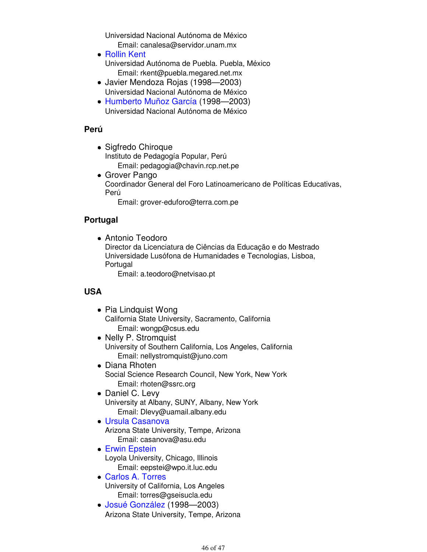Universidad Nacional Autónoma de México

- Email: canalesa@servidor.unam.mx Rollin Kent Universidad Autónoma de Puebla. Puebla, México Email: rkent@puebla.megared.net.mx
- Javier Mendoza Rojas (1998—2003) Universidad Nacional Autónoma de México
- Humberto Muñoz García (1998—2003) Universidad Nacional Autónoma de México

## **Perú**

- Sigfredo Chiroque Instituto de Pedagogía Popular, Perú Email: pedagogia@chavin.rcp.net.pe
- Grover Pango Coordinador General del Foro Latinoamericano de Políticas Educativas, Perú

Email: grover-eduforo@terra.com.pe

## **Portugal**

Antonio Teodoro Director da Licenciatura de Ciências da Educação e do Mestrado Universidade Lusófona de Humanidades e Tecnologias, Lisboa, Portugal Email: a.teodoro@netvisao.pt

## **USA**

- Pia Lindquist Wong California State University, Sacramento, California Email: wongp@csus.edu
- Nelly P. Stromquist University of Southern California, Los Angeles, California Email: nellystromquist@juno.com
- Diana Rhoten Social Science Research Council, New York, New York Email: rhoten@ssrc.org
- Daniel C. Levy University at Albany, SUNY, Albany, New York Email: Dlevy@uamail.albany.edu
- Ursula Casanova Arizona State University, Tempe, Arizona Email: casanova@asu.edu
- **Erwin Epstein** Loyola University, Chicago, Illinois Email: eepstei@wpo.it.luc.edu
- Carlos A. Torres University of California, Los Angeles Email: torres@gseisucla.edu
- Josué González (1998—2003) Arizona State University, Tempe, Arizona